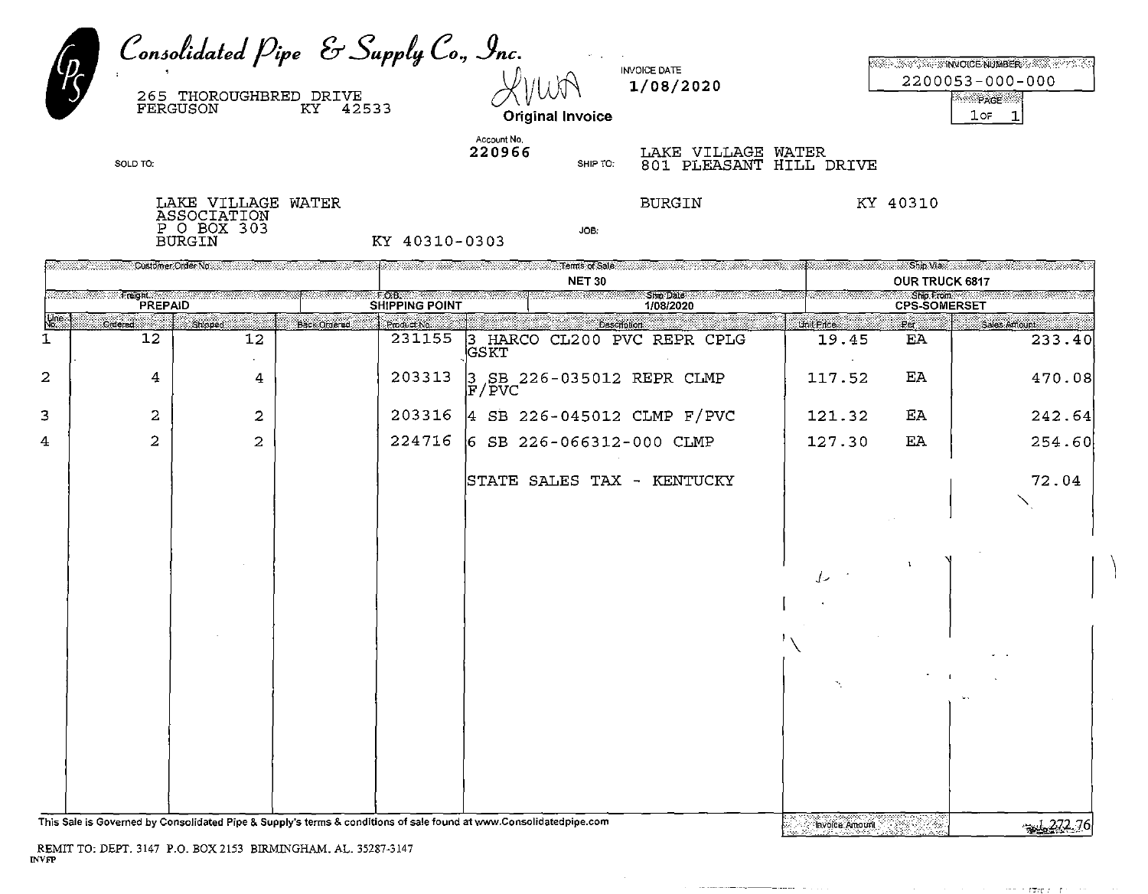| $\boldsymbol{\ell}$ | Consolidated Pipe & Supply Co., Inc.<br>265 THOROUGHBRED DRIVE<br>FERGUSON | 42533<br>KY. | <b>Original Invoice</b>           | <b>INVOICE DATE</b><br>1/08/2020 |                              | <b>MARINE STATE INVOICE NUMBER A STATE OF STATE</b><br>2200053-000-000<br>⋰⋰⋰⋽ <sub>Ӓ</sub> Ġ⋿<br>1 ori |
|---------------------|----------------------------------------------------------------------------|--------------|-----------------------------------|----------------------------------|------------------------------|---------------------------------------------------------------------------------------------------------|
|                     | SOLD TO:                                                                   |              | Account No.<br>220966<br>SHIP TO: | AKE VILLAGE.<br>801.             | WATER<br>PLEASANT HILL DRIVE |                                                                                                         |
|                     | LAKE VILLAGE WATER<br>ASSOCIATION<br>P O BOX 303<br>BURGIN                 |              | JOB:<br>KY 40310-0303             | <b>BURGIN</b>                    | KY.                          | 40310                                                                                                   |
|                     | Customer Order No. 2006 Washington Contract of The United States           |              | terms of Sale:<br><b>NET 30</b>   |                                  |                              | Ship Maxima<br><b>OUR TRUCK 6817</b>                                                                    |

| enter and the part and the part of the part of the part of the part of the PREPAID.<br>PREPAID |                | <b>SECTE SHIPPING POINT</b> | Ship:Dale<br>1/08/2020                                                                                            | ーンの Sho From Contains (1995年)<br>CPS-SOMERSET |                      |              |  |
|------------------------------------------------------------------------------------------------|----------------|-----------------------------|-------------------------------------------------------------------------------------------------------------------|-----------------------------------------------|----------------------|--------------|--|
| <b>Line</b>                                                                                    | Ordered        | Shipped                     | Back Ordered<br>Product No.                                                                                       | Description                                   | Pe .<br>Unit Price   | Sales Amount |  |
|                                                                                                | 12             | 12                          | 231155                                                                                                            | 3 HARCO CL200 PVC REPR CPLG<br>GSKT           | 19.45<br>ΕA          | 233.40       |  |
| 2                                                                                              | 4              | 4                           | 203313                                                                                                            | 3 SB 226-035012 REPR CLMP                     | EA<br>117.52         | 470.08       |  |
| 3                                                                                              | $\overline{a}$ | 2                           | 203316                                                                                                            | $ 4$ SB 226-045012 CLMP F/PVC                 | EA<br>121.32         | 242.64       |  |
| 4                                                                                              | $\overline{2}$ | $\overline{a}$              | 224716                                                                                                            | 6 SB 226-066312-000 CLMP                      | 127.30<br>EA         | 254.60       |  |
|                                                                                                |                |                             |                                                                                                                   | STATE SALES TAX - KENTUCKY                    |                      | 72.04        |  |
|                                                                                                |                |                             |                                                                                                                   |                                               |                      |              |  |
|                                                                                                |                |                             |                                                                                                                   |                                               | エン                   |              |  |
|                                                                                                |                |                             |                                                                                                                   |                                               |                      |              |  |
|                                                                                                |                |                             |                                                                                                                   |                                               |                      |              |  |
|                                                                                                |                |                             |                                                                                                                   |                                               |                      |              |  |
|                                                                                                |                |                             |                                                                                                                   |                                               |                      |              |  |
|                                                                                                |                |                             |                                                                                                                   |                                               |                      |              |  |
|                                                                                                |                |                             |                                                                                                                   |                                               |                      |              |  |
|                                                                                                |                |                             | his Sale is Governed by Consolidated Pipe & Supply's terms & conditions of sale found at www.Consolidatedpipe.com |                                               | <b>Tryoice Amoun</b> | $-1.272.76$  |  |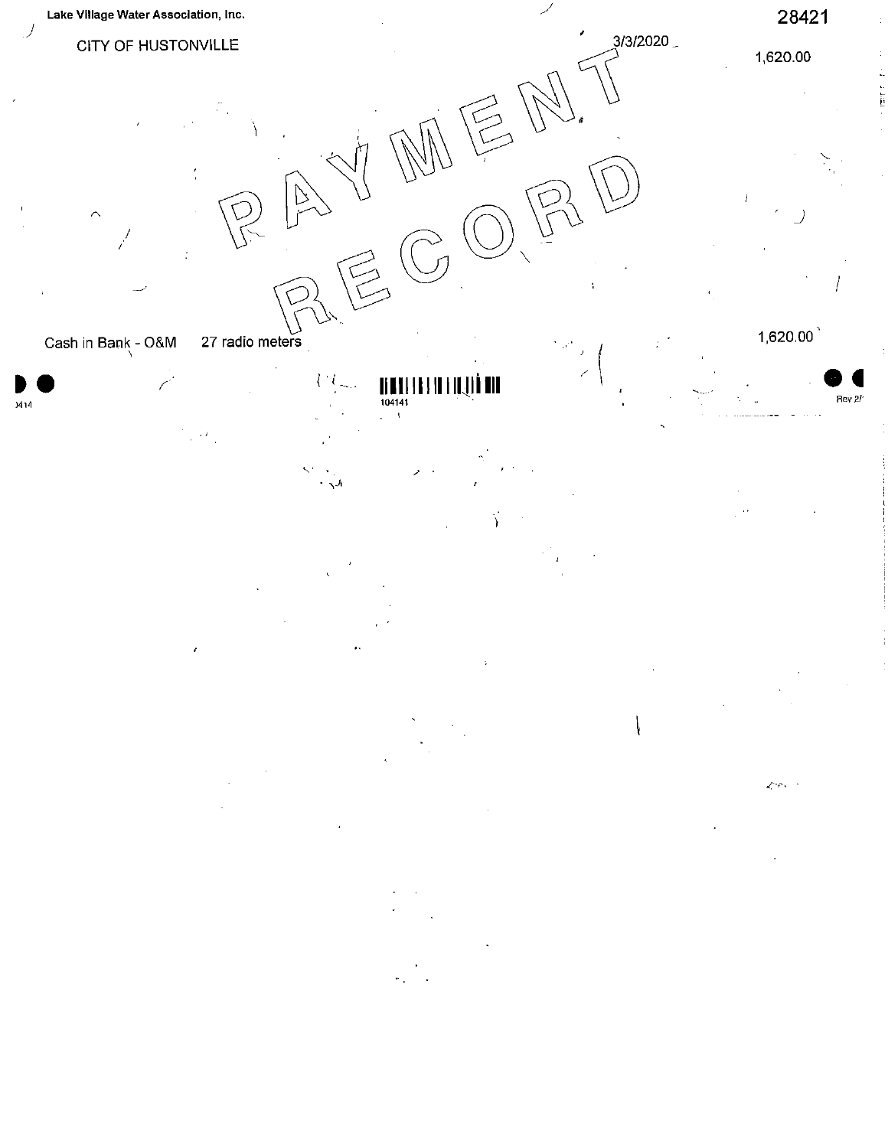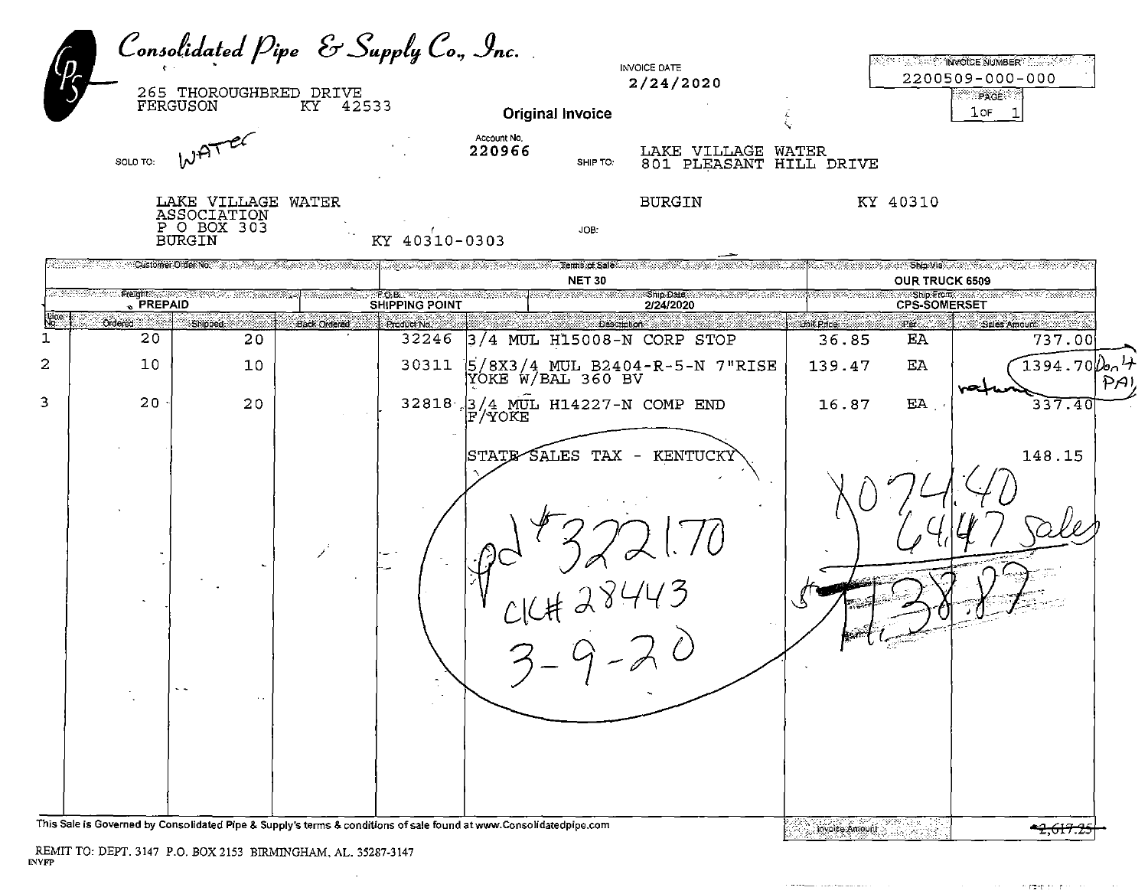|             | <b>FERGUSON</b>                                                                                                                                                                                                                    | Consolidated Pipe & Supply Co., Inc.<br>265 THOROUGHBRED DRIVE | KY<br>42533  |                                                               | Account No. | <b>INVOICE DATE</b><br>2/24/2020<br><b>Original Invoice</b>                                                                                                |                   |                             | ON HEATHER INVOICE NUMBER IN A SAFE<br>2200509-000-000<br>RAGE O<br>$1$ of<br>1 |
|-------------|------------------------------------------------------------------------------------------------------------------------------------------------------------------------------------------------------------------------------------|----------------------------------------------------------------|--------------|---------------------------------------------------------------|-------------|------------------------------------------------------------------------------------------------------------------------------------------------------------|-------------------|-----------------------------|---------------------------------------------------------------------------------|
|             | SOLD TO:                                                                                                                                                                                                                           | WAT<br>LAKE VILLAGE WATER                                      |              |                                                               | 220966      | LAKE VILLAGE WATER<br>SHIP TO:<br>801 PLEASANT HILL DRIVE<br><b>BURGIN</b>                                                                                 |                   | KY 40310                    |                                                                                 |
|             | A Communication of the Contract of the Contract of the Contract of the Contract of the Contract of the Contract of the Contract of the Contract of the Contract of the Contract of the Contract of the Contract of the Contrac     | ASSOCIATION<br>P O BOX 303<br><b>BURGIN</b>                    |              | KY 40310-0303                                                 |             | JOB:<br>Tems of Sale was also assumed that the control of the control of the Ship Washington Control of the Control of                                     |                   |                             |                                                                                 |
|             | 。<br>- All Directors - All Directors - All Directors - All Directors - All Directors - All Directors - All Director<br>- All Directors - All Directors - All Directors - All Directors - All Directors - All Directors - All Direc |                                                                |              |                                                               |             | <b>NET 30</b><br><b>ිනිසුව වන ම</b> ිනිසා මෙම මෙම වෙනස් මෙම මෙම විසින් මෙම මෙම මෙම මෙම විසින් මෙම විසින් මෙම විසින් මෙම මෙම විසින් මෙම<br>e Kora (kara Kar |                   | OUR TRUCK 6509              | ਲ਼ਲ਼ਲ਼੶ਫ਼ਖ਼ਖ਼ਫ਼ਲ਼ਫ਼ਫ਼ਲ਼ਲ਼ਫ਼ਲ਼ਲ਼ਲ਼ਲ਼ਲ਼ਲ਼ਲ਼ਲ਼ਲ਼ਲ਼ਲ਼<br>੶ <b>CPS-SOMERSE</b> T     |
| l úe.<br>√o | Ordered                                                                                                                                                                                                                            | .<br>Shipped:                                                  | Back Ordered | <b>External Strate</b><br>SHIPPING POINT<br><b>Product No</b> |             | 2/24/2020<br>Description                                                                                                                                   | <b>Unit Price</b> | $\mathbf{P}_{\mathbf{F}}$ . | Seles Amount                                                                    |
|             | 20                                                                                                                                                                                                                                 | 20                                                             |              | 32246                                                         |             | $3/4$ MUL H15008-N CORP STOP                                                                                                                               | 36.85             | EA                          | 737.00                                                                          |
| 2           | 10                                                                                                                                                                                                                                 | 10                                                             |              | 30311                                                         |             | $ 5/8X3/4$ MUL B2404-R-5-N 7"RISE<br>YOKE W/BAL 360 BV                                                                                                     | 139.47            | ЕA                          | $1394.70 \text{b} - 4$<br>PAI                                                   |
| 3           | 20                                                                                                                                                                                                                                 | 20                                                             |              |                                                               | F/YOKE      | 32818 3/4 MUL H14227-N COMP END                                                                                                                            | 16.87             | EA .                        | 337.40                                                                          |
|             | This Sale is Governed by Consolidated Pipe & Supply's terms & conditions of sale found at www.Consolidatedpipe.com                                                                                                                 | . .<br>$\sim$                                                  |              |                                                               | STATE-      | SALES TAX -<br>KENTUCKY<br>742443                                                                                                                          | Invoice Amount    |                             | 148.15<br><del>~2,617.2</del>                                                   |

 $\sim 100$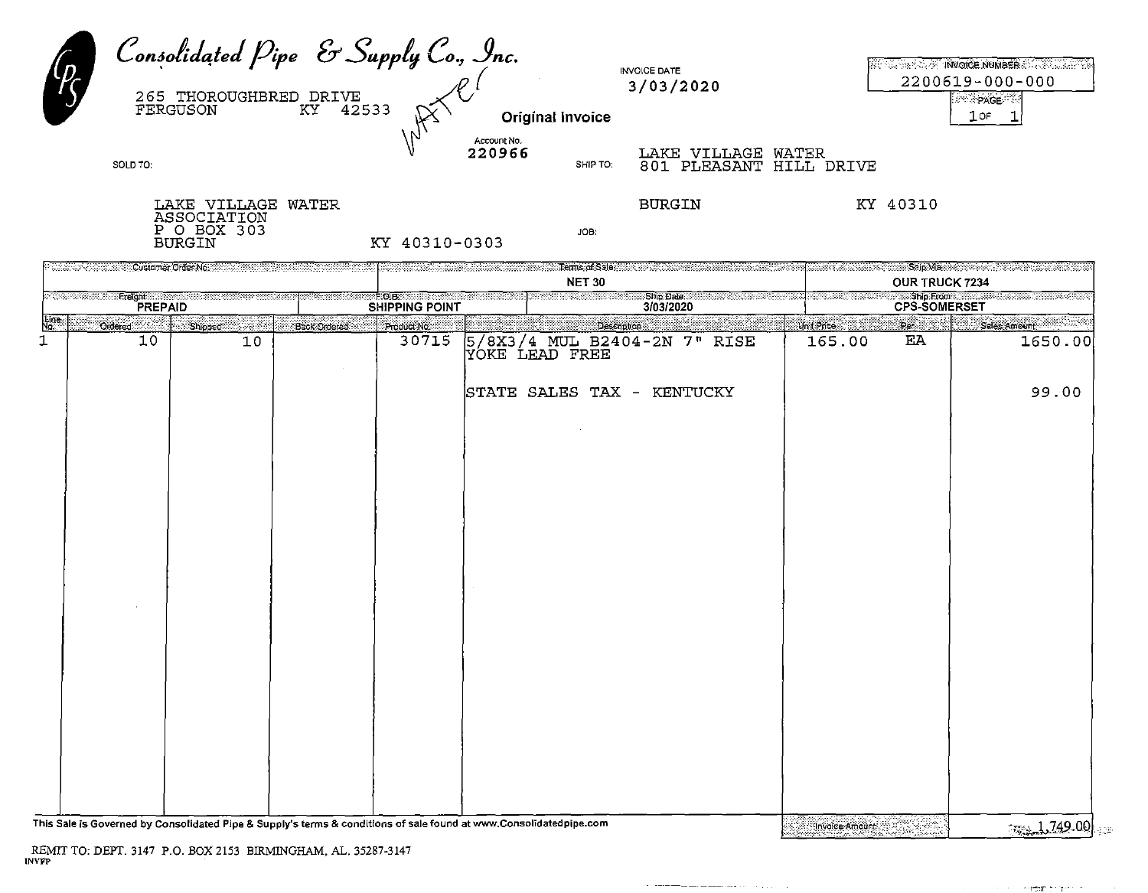|            |                      | 265 THOROUGHBRED DRIVE<br>FERGUSON KY 42533                   |              | Consolidated Pipe & Supply Co., Inc. | Original Invoice                                                                                           | <b>INVOICE DATE</b><br>3/03/2020         |                      |                       | INVOICE NUMBER 2007 THE 2008<br>2200619-000-000<br><b>∂°∵∂PAGE</b><br>1 OF |
|------------|----------------------|---------------------------------------------------------------|--------------|--------------------------------------|------------------------------------------------------------------------------------------------------------|------------------------------------------|----------------------|-----------------------|----------------------------------------------------------------------------|
|            | SOLD TO:             |                                                               |              |                                      | Account No.<br>220966<br>SHIP TO:                                                                          | VILLAGE WATER<br>LAKE<br>PLEASANT<br>801 | HILL DRIVE           |                       |                                                                            |
|            |                      | LAKE VILLAGE WATER<br>ASSOCIATION<br>P O BOX 303<br>BURGIN    |              | KY 40310-0303                        | JOB:                                                                                                       | BURGIN                                   |                      | KY 40310              |                                                                            |
|            |                      | Customer Order No. 2002. Council 2003. All 2003. Council 2004 |              |                                      | Terms of Sale<br><b>NET 30</b>                                                                             |                                          |                      | <b>OUR TRUCK 7234</b> | Shin Macocontect - 2000, 2000, 2000                                        |
|            | <b>PREPAID</b>       | Freighter <i>Angelous Communication</i>                       |              | 0.0.BS 3333<br><b>SHIPPING POINT</b> |                                                                                                            | Shio Data<br>3/03/2020                   |                      | <b>CPS-SOMERSET</b>   | Ship From the wealth of the control of the                                 |
| l∏e.<br>No | <b>Ordered</b><br>10 | Shioned<br>10                                                 | Back Ordered | Product No:<br>30715                 | Description<br>5/8X3/4 MUL B2404-2N 7" RISE<br>LEAD FREE<br><b>YOKE</b><br>SALES<br><b>ISTATE</b><br>TAX - | KENTUCKY                                 | Un (Price:<br>165.00 | Per<br>ΕA             | Sales Amount<br>1650.00<br>99.00                                           |

C R

1.749.00

408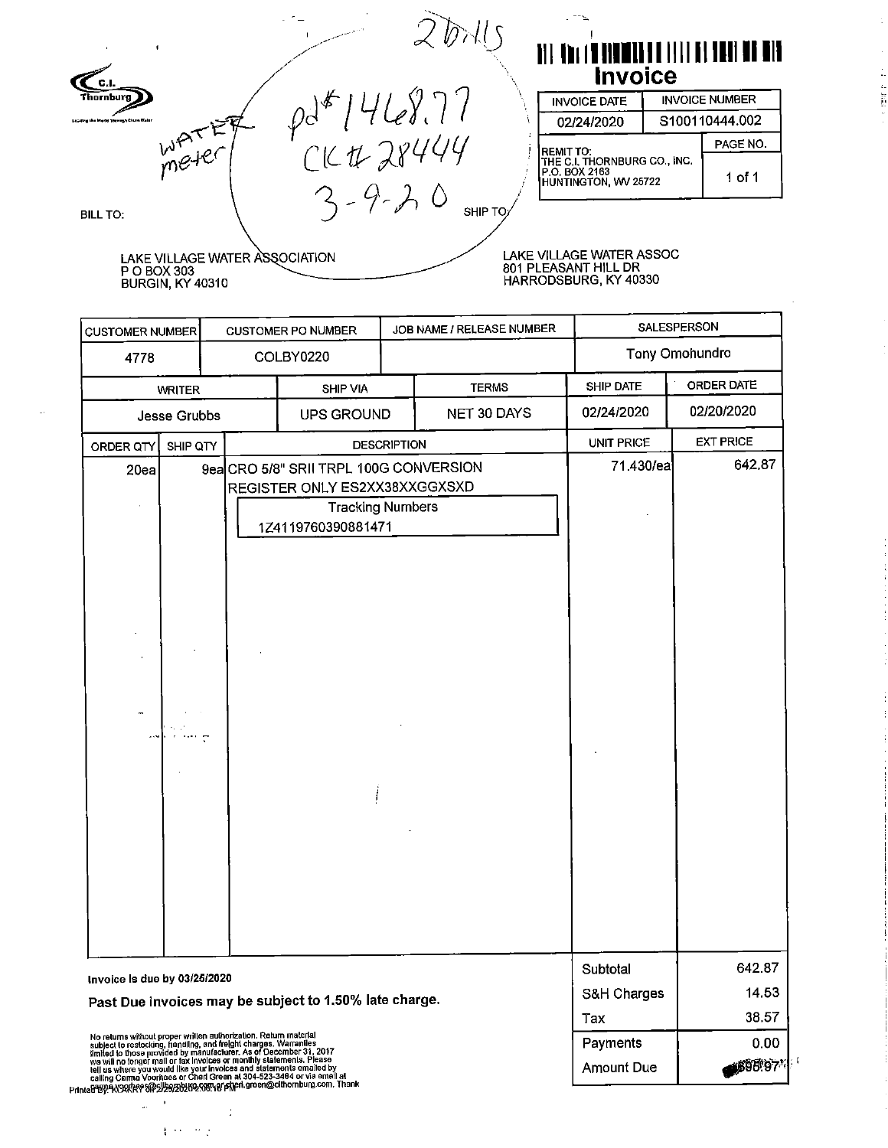$20115$ <br>  $\rho d^*14128.77$ <br>
CK#28444 <u> 11 | Absta din Ang Malaysia (11 | Ang Tanggi Mangki)</u> **Invoice** ້c.I. hornburg **INVOICE DATE INVOICE NUMBER** S100110444.002 02/24/2020 **WATE** PAGE NO. |<br>|THE C.I. THORNBURG CO., INC.<br>|P.O. BOX 2163<br>|HUNTINGTON, WV 25722  $1$  of  $1$ **BILL TO:** LAKE VILLAGE WATER ASSOC<br>801 PLEASANT HILL DR LAKE VILLAGE WATER ASSOCIATION P O BOX 303<br>BURGIN, KY 40310 HARRODSBURG, KY 40330

Ĕ

 $0.00$ 

1698.97

Payments

**Amount Due** 

**SALESPERSON** JOB NAME / RELEASE NUMBER **CUSTOMER NUMBER CUSTOMER PO NUMBER Tony Omohundro** 4778 COLBY0220 ORDER DATE SHIP DATE **TERMS SHIP VIA WRITER** 02/24/2020 02/20/2020 **UPS GROUND** NET 30 DAYS Jesse Grubbs **EXT PRICE UNIT PRICE** ORDER QTY SHIP QTY **DESCRIPTION** 642.87 CRO 5/8" SRII TRPL 100G CONVERSION 71.430/ea 20ea 9ea REGISTER ONLY ES2XX38XXGGXSXD **Tracking Numbers** 1Z4119760390881471 642.87 Subtotal Invoice Is due by 03/25/2020 14.53 S&H Charges Past Due invoices may be subject to 1.50% late charge. 38.57 Tax

No returns without proper written authorization. Raturn material<br>subject to restocking, handling, and freight charges. Warranties<br>firmited to those provided by manufacturer. As of December 31, 2017<br>we will no tonger mail o

 $\mathbf{f}$  , where  $\mathbf{f}$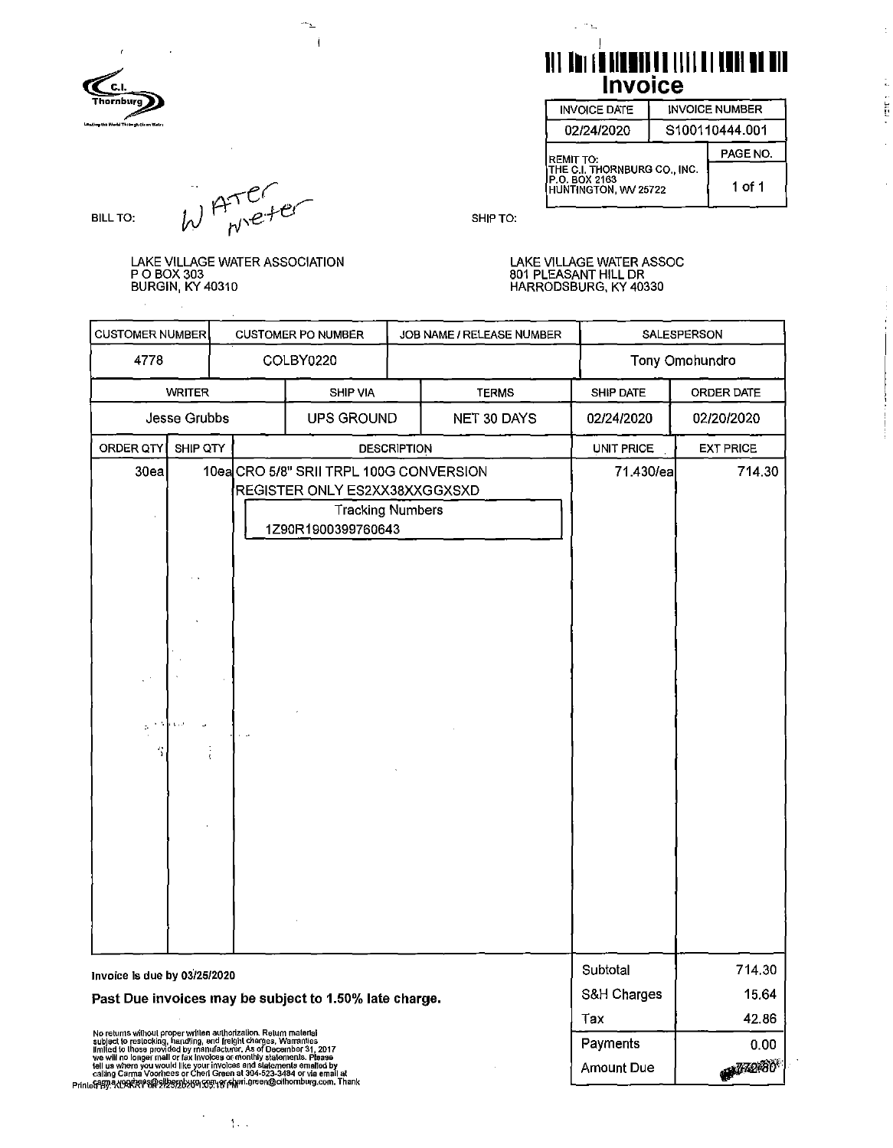

Invoice

| <b>INVOICE DATE</b>                                                   |        | <b>INVOICE NUMBER</b> |  |  |  |
|-----------------------------------------------------------------------|--------|-----------------------|--|--|--|
| 02/24/2020                                                            |        | S100110444.001        |  |  |  |
| <b>IREMIT TO:</b>                                                     |        | PAGE NO.              |  |  |  |
| THE C.I. THORNBURG CO., INC.<br>P.O. BOX 2163<br>HUNTINGTON, WV 25722 | 1 of 1 |                       |  |  |  |

SHIP TO:

LAKE VILLAGE WATER ASSOC 801 PLEASANT HILL DR HARRODSBURG, KY 40330

**CUSTOMER NUMBER CUSTOMER PO NUMBER** JOB NAME / RELEASE NUMBER SALESPERSON 4778 COLBY0220 Tony Omohundro **WRITER** SHIP VIA **TERMS** SHIP DATE ORDER DATE **Jesse Grubbs** NET 30 DAYS **UPS GROUND** 02/24/2020 02/20/2020 SHIP QTY ORDER QTY **DESCRIPTION** UNIT PRICE **EXT PRICE** CRO 5/8" SRII TRPL 100G CONVERSION  $30ea$ 10eal 71.430/ea 714.30 REGISTER ONLY ES2XX38XXGGXSXD **Tracking Numbers** 1Z90R1900399760643 ÷. Ŷ, Subtotal 714.30 Invoice is due by 03/25/2020 S&H Charges 15.64 Past Due invoices may be subject to 1.50% late charge. Tax 42.86 No returns without proper written authorization. Return material<br>subject to restocking, handfing, and freight charges. Warranties<br>limited to those provided by manufacturer. As of December 31, 2017<br>we will no longer mail or Payments  $0.00$ **17280 Amount Due** 

**BILL TO:** 

WATER-

LAKE VILLAGE WATER ASSOCIATION P O BOX 303 **BURGIN, KY 40310** 

 $1.1$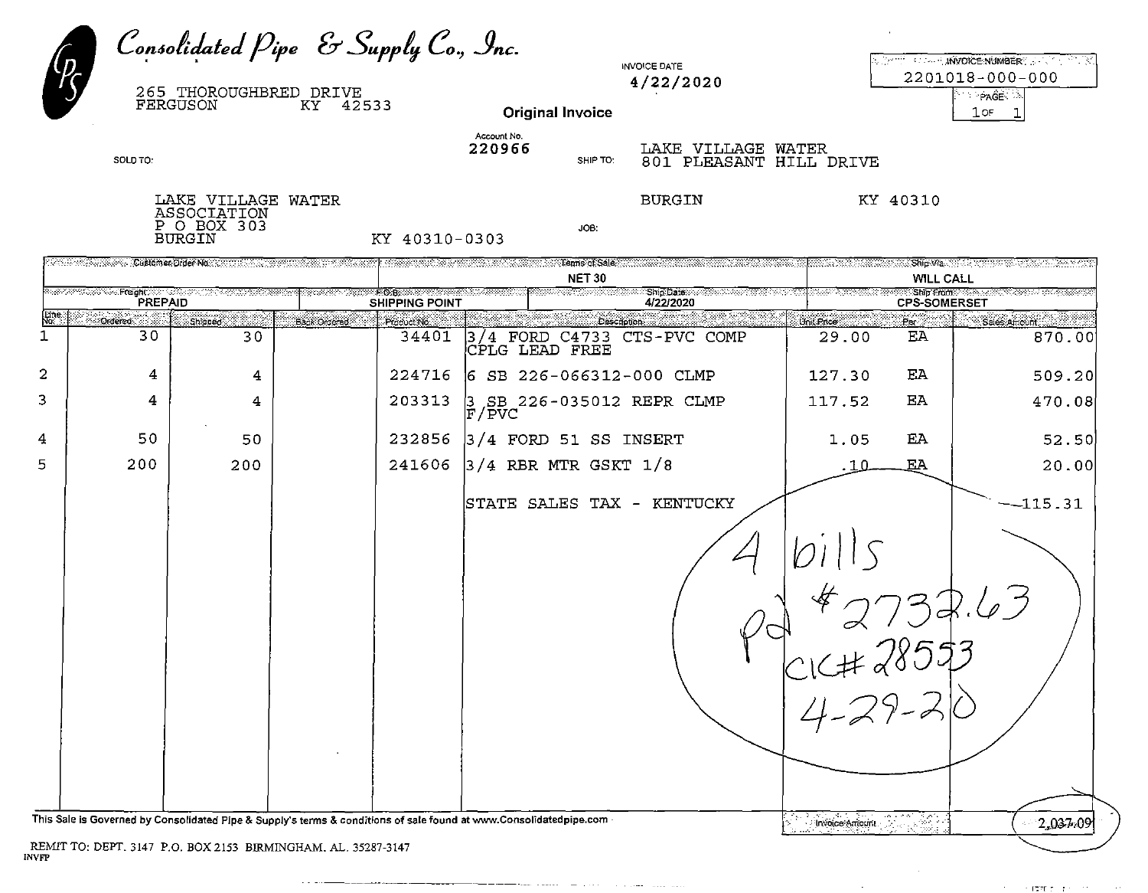|               |               |                                          |                                                             | <b>Original Invoice</b>           | 4/22/2020                                                                                                                                                                                                                                                                                                        |                                                                                                                                                                                                                                    |                                               | <b>A CONTROL INVOICE IN UMBER?</b> A CONTROL IN THE<br>2201018-000-000<br>∵ PAGE A<br>$1$ or                                                                                                                                                                                                                                                                                                                                                                                                                                    |
|---------------|---------------|------------------------------------------|-------------------------------------------------------------|-----------------------------------|------------------------------------------------------------------------------------------------------------------------------------------------------------------------------------------------------------------------------------------------------------------------------------------------------------------|------------------------------------------------------------------------------------------------------------------------------------------------------------------------------------------------------------------------------------|-----------------------------------------------|---------------------------------------------------------------------------------------------------------------------------------------------------------------------------------------------------------------------------------------------------------------------------------------------------------------------------------------------------------------------------------------------------------------------------------------------------------------------------------------------------------------------------------|
| SOLD TO:      |               |                                          |                                                             | Account No.<br>220966<br>SHIP TO: |                                                                                                                                                                                                                                                                                                                  |                                                                                                                                                                                                                                    |                                               |                                                                                                                                                                                                                                                                                                                                                                                                                                                                                                                                 |
|               |               |                                          |                                                             | JOB:                              | <b>BURGIN</b>                                                                                                                                                                                                                                                                                                    |                                                                                                                                                                                                                                    |                                               |                                                                                                                                                                                                                                                                                                                                                                                                                                                                                                                                 |
|               |               |                                          |                                                             | <b>NET 30</b>                     |                                                                                                                                                                                                                                                                                                                  |                                                                                                                                                                                                                                    |                                               |                                                                                                                                                                                                                                                                                                                                                                                                                                                                                                                                 |
|               |               |                                          |                                                             |                                   | 4/22/2020                                                                                                                                                                                                                                                                                                        |                                                                                                                                                                                                                                    | <b>CPS-SOMERSET</b>                           |                                                                                                                                                                                                                                                                                                                                                                                                                                                                                                                                 |
| Orderec<br>30 | Shipped<br>30 | Back Ordered                             | 34401                                                       | CPLG LEAD FREE                    |                                                                                                                                                                                                                                                                                                                  | Unit Price<br>29.00                                                                                                                                                                                                                | .<br>Per 2<br>EA                              | Sales Arrount<br>870.00                                                                                                                                                                                                                                                                                                                                                                                                                                                                                                         |
| 4             | 4             |                                          | 224716                                                      |                                   |                                                                                                                                                                                                                                                                                                                  | 127.30                                                                                                                                                                                                                             | EA                                            | 509.20                                                                                                                                                                                                                                                                                                                                                                                                                                                                                                                          |
| 4             | 4             |                                          | 203313                                                      |                                   |                                                                                                                                                                                                                                                                                                                  | 117.52                                                                                                                                                                                                                             | EA                                            | 470.08                                                                                                                                                                                                                                                                                                                                                                                                                                                                                                                          |
| 50            | 50            |                                          | 232856                                                      |                                   |                                                                                                                                                                                                                                                                                                                  | 1.05                                                                                                                                                                                                                               | EA.                                           | 52.50                                                                                                                                                                                                                                                                                                                                                                                                                                                                                                                           |
| 200           | 200           |                                          | 241606                                                      |                                   |                                                                                                                                                                                                                                                                                                                  | -10                                                                                                                                                                                                                                | ΕA                                            | 20.00                                                                                                                                                                                                                                                                                                                                                                                                                                                                                                                           |
|               |               |                                          |                                                             |                                   |                                                                                                                                                                                                                                                                                                                  | invoice Articuri.                                                                                                                                                                                                                  | 1,55                                          | $-115.31$<br>2,037.09                                                                                                                                                                                                                                                                                                                                                                                                                                                                                                           |
|               |               | FERGUSON<br>P O BOX 303<br><b>BURGIN</b> | 265 THOROUGHBRED DRIVE<br>LAKE VILLAGE WATER<br>ASSOCIATION | KY 42533<br>Product No.           | Consolidated Pipe & Supply Co., Inc.<br>KY 40310-0303<br>المستقدمة المستقدمة المستقدمة المستقدمة المستقدمة المستقدمة المستقدمة المستقدمة المستقدمة المستقدمة المستقدمة<br>SHIPPING POINT<br>This Sale is Governed by Consolidated Pipe & Supply's terms & conditions of sale found at www.Consolidatedpipe.com - | <b>INVOICE DATE</b><br><b>Description</b><br>3/4 FORD C4733 CTS-PVC COMP<br>$ 6$ SB 226-066312-000 CLMP<br>3 SB 226-035012 REPR CLMP<br>F/PVC<br>$3/4$ FORD 51 SS INSERT<br>$3/4$ RBR MTR GSKT $1/8$<br>STATE SALES TAX - KENTUCKY | LAKE VILLAGE WATER<br>801 PLEASANT HILL DRIVE | KY 40310<br><b>Manufacture Property Contact on the Contact of Contact Contact Contact Contact Contact Contact Contact Contact Contact Contact Contact Contact Contact Contact Contact Contact Contact Contact Contact Contact Contact Contac</b><br><b>WILL CALL</b><br>. Pinawa at The according to Ship Dales exclusive and it is the Confidence of the according the magnetic property of the property of the state of the Ship Confidence. The Ship Confidence of the Ship Confidence of the Ship<br>CIC# 28022<br>14-29-20 |

REMIT TO: DEPT. 3147 P.O. BOX 2153 BIRMINGHAM. AL. 35287-3147 INVEP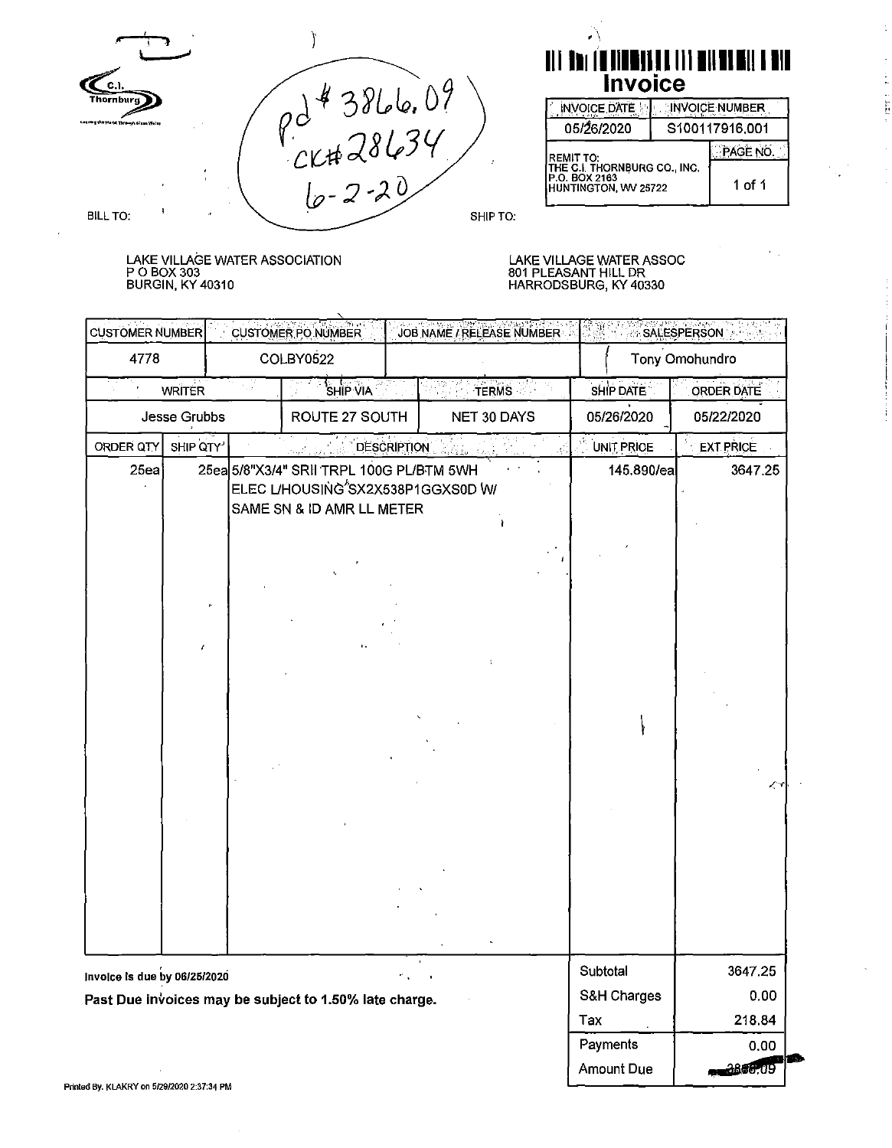Ì pd#3866.09<br>CK#28634  $\epsilon$ . hornburg **BILL TO:** SHIP TO:



| NVOICE DATE                                                                  | <b>INVOICE NUMBER</b> |         |  |  |
|------------------------------------------------------------------------------|-----------------------|---------|--|--|
| 05/26/2020                                                                   | S100117916.001        |         |  |  |
| <b>IREMIT TO:</b>                                                            |                       | PAGE NO |  |  |
| THE C.I. THORNBURG CO., INC.<br><b>P.O. BOX 2163</b><br>HUNTINGTON, WV 25722 |                       | 1 of 1  |  |  |

∽

LAKE VILLAGE WATER ASSOCIATION<br>P O BOX 303<br>BURGIN, KY 40310

## LAKE VILLAGE WATER ASSOC<br>801 PLEASANT HILL DR<br>HARRODSBURG, KY 40330

᠇

| <b>CUSTOMER NUMBER</b>       |                                            | <b>CUSTOMER PO NUMBER</b> |                                                                                                                         | JOB NAME / RELEASE NUMBER |            |                   |             | 以過 Mass SALESPERSON (2018) 2018 |                  |      |
|------------------------------|--------------------------------------------|---------------------------|-------------------------------------------------------------------------------------------------------------------------|---------------------------|------------|-------------------|-------------|---------------------------------|------------------|------|
| 4778                         |                                            |                           | COLBY0522                                                                                                               |                           |            |                   |             |                                 | Tony Omohundro   |      |
| <b>WRITER</b>                |                                            | SHIP VIA<br><b>TERMS</b>  |                                                                                                                         | SHIP DATE                 |            | <b>ORDER DATE</b> |             |                                 |                  |      |
|                              | Jesse Grubbs                               |                           | ROUTE 27 SOUTH<br>NET 30 DAYS                                                                                           |                           | 05/26/2020 |                   | 05/22/2020  |                                 |                  |      |
| ORDER QTY                    | SHIP QTY'                                  |                           | DESCRIPTION                                                                                                             |                           |            |                   | UNIT PRICE  |                                 | <b>EXT PRICE</b> |      |
| 25ea                         |                                            |                           | 25ea 5/8"X3/4" SRII TRPL 100G PL/BTM 5WH<br>ELEC L/HOUSING <sup>'</sup> SX2X538P1GGXS0D W/<br>SAME SN & ID AMR LL METER |                           |            |                   | 145.890/ea  |                                 | 3647.25          |      |
|                              |                                            |                           |                                                                                                                         |                           |            |                   |             |                                 |                  |      |
|                              |                                            |                           |                                                                                                                         |                           |            |                   |             |                                 |                  |      |
|                              |                                            |                           |                                                                                                                         |                           |            |                   |             |                                 |                  | ا ک  |
|                              |                                            |                           |                                                                                                                         |                           |            |                   |             |                                 |                  |      |
| Invoice is due by 06/25/2020 |                                            |                           |                                                                                                                         |                           |            |                   | Subtotal    |                                 | 3647.25          |      |
|                              |                                            |                           | Past Due invoices may be subject to 1.50% late charge.                                                                  |                           |            |                   | S&H Charges |                                 |                  | 0.00 |
|                              |                                            |                           |                                                                                                                         |                           |            |                   | Tax         |                                 | 218.84           |      |
|                              |                                            |                           |                                                                                                                         |                           |            |                   | Payments    |                                 |                  | 0.00 |
|                              | Printed By: KLAKRY on 5/29/2020 2:37:34 PM |                           |                                                                                                                         |                           |            |                   | Amount Due  |                                 | 2866.09          |      |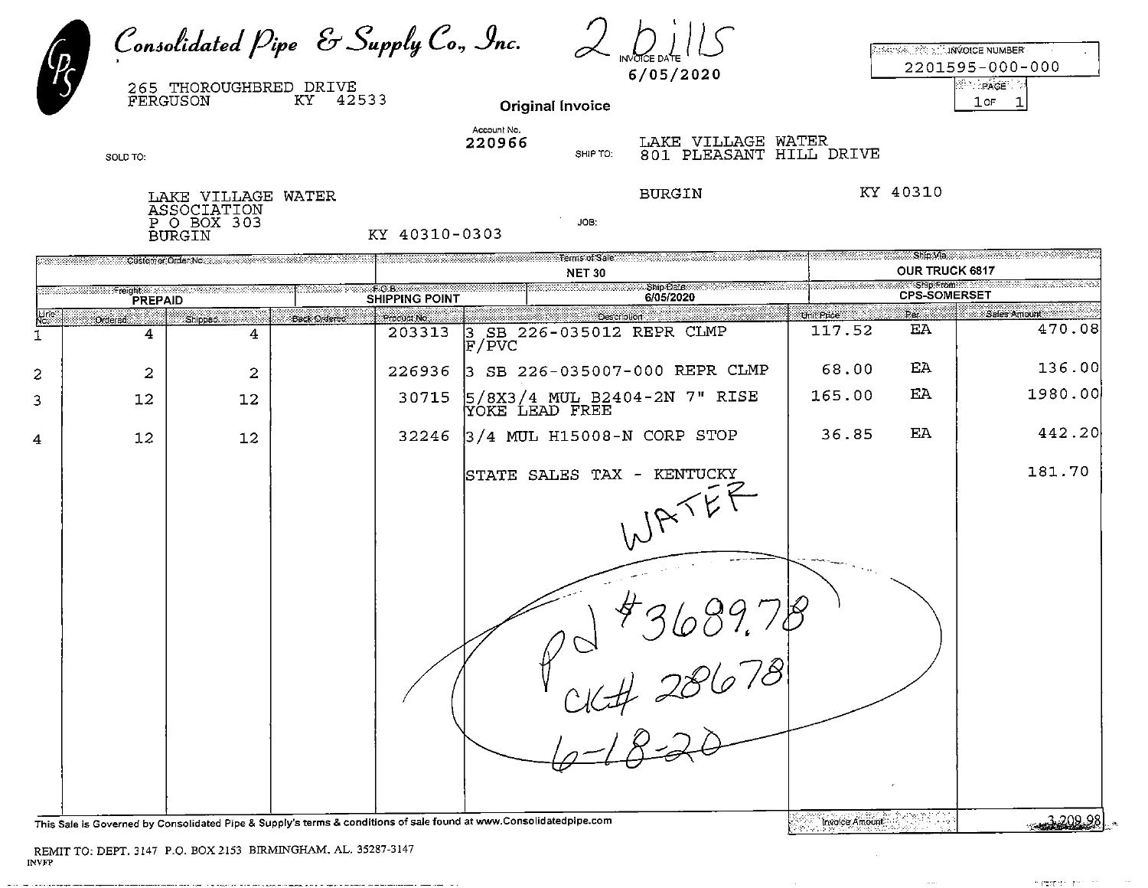Consolidated Pipe & Supply Co., Inc.  $2 \times$ 6/05/2020

| <b>ATTENTION : LINVOICE NUMBER</b> |
|------------------------------------|
| 2201595-000-000                    |

∛∷reader i d

 $10<sub>F</sub>$ 

265 THOROUGHBRED DRIVE KY 42533 FERGUSON

**Original Invoice** 

SHIP TO:

JOB:

KY 40310-0303

220966

Account No.

LAKE VILLAGE WATER<br>801 PLEASANT HILL DRIVE

**BURGIN** 

KY 40310

LAKE VILLAGE WATER ASSOCIATION P O BOX 303 **BURGIN** 

SOLD TO:

an shekara matama wa wasan wa Terms of Sale Customer Order No. 2008. 2009 OUR TRUCK 6817 **NET 30** Ship From States Ship Dale: rerolat. **CPS-SOMERSET SHIPPING POINT** 6/05/2020 PREPAID жä, Unit Price Sales Amount **Line** Product No. Description Back Ordered Ordered Shipped EA 470.08 SB 226-035012 REPR CLMP 117.52 203313 4  $\overline{\mathbf{4}}$ IЗ  $\mathbf{1}$ F/PVC 3 SB 226-035007-000 REPR CLMP 68.00 EA 136.00 226936  $\overline{2}$  $\overline{a}$  $\overline{2}$ 5/8X3/4 MUL B2404-2N 7" RISE<br>YOKE LEAD FREE ЕA 1980.00 165.00 30715  $\overline{3}$  $12$  $12$ 442.20 3/4 MUL H15008-N CORP STOP 36.85 EA 32246  $12$  $12 \overline{ }$ 4 STATE SALES TAX - KENTUCKY 181.70 JATEF  $\rho d'3689.78$ <br>CKC# 28678 3209.9 Invoice Amount

This Sale is Governed by Consolidated Pipe & Supply's terms & conditions of sale found at www.Consolidatedpipe.com

ماج المحاج ومعاون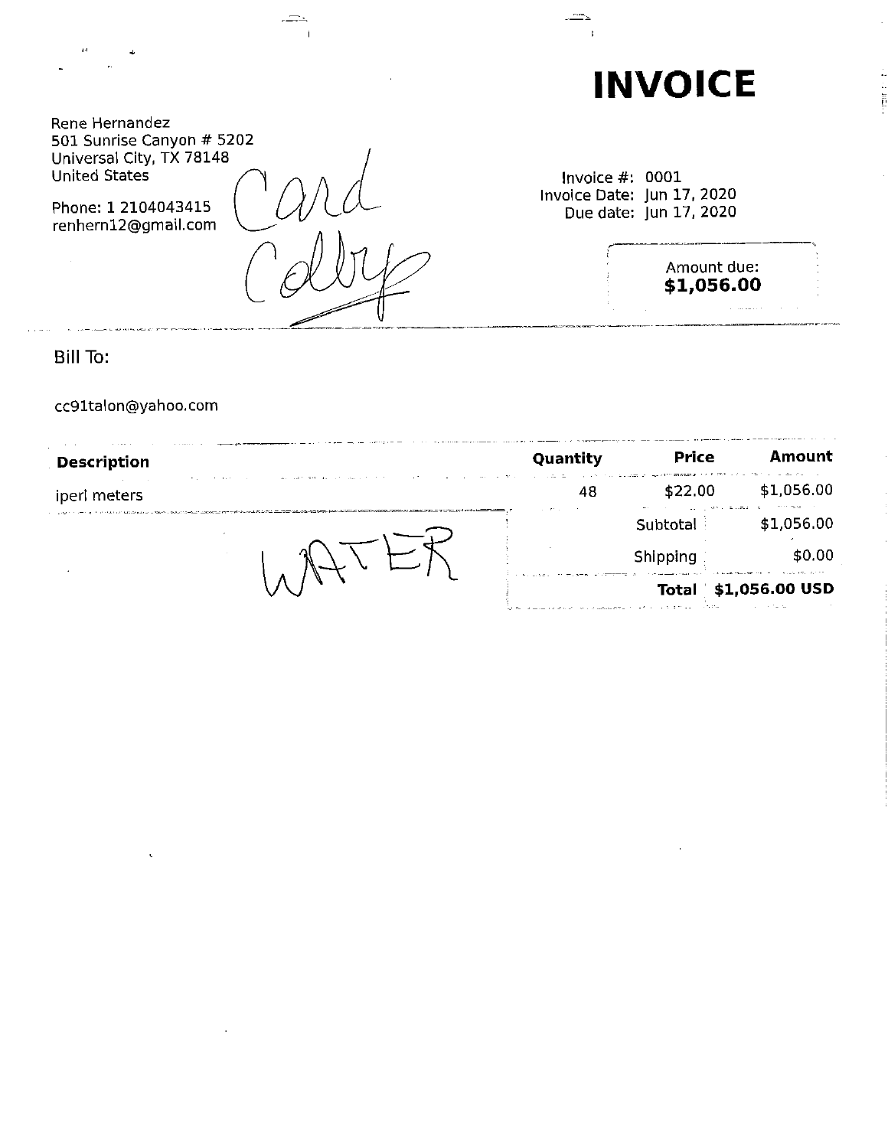### **INVOICE**

Rene Hernandez 501 Sunrise Canyon # 5202 Universal City, TX 78148 *l*  Rene Hernandez<br>501 Sunrise Canyon # 5202<br>Universal City, TX 78148<br>United States

Phone: 1 2104043415<br>renhern12@gmail.com

Col

Invoice#: 0001 Invoice Date: Jun 17, 2020 Due date: Jun 17, 2020

÷.  $\overline{1}$ 

> Amount due: **\$1,056.00**   $\tau$  and  $\tau$  .

> > $\sim$  . The same contract of the same state  $\sim$  1.

Ĭ

#### Bill To:

cc91talon@yahoo.com

| Description                                                                                            | Quantity | <b>Price</b> | Amount                                                                                |
|--------------------------------------------------------------------------------------------------------|----------|--------------|---------------------------------------------------------------------------------------|
| the company agencies and the days of the first<br>the company of the state of the com-<br>iperi meters | 48       | \$22.00      | The problem access to community of the second many controls of the con-<br>\$1,056.00 |
|                                                                                                        | control  | Subtotal     | and the state of<br>as a seven a case of<br>\$1,056.00                                |
|                                                                                                        |          | Shipping     | \$0.00                                                                                |
|                                                                                                        |          |              | Total \$1,056.00 USD                                                                  |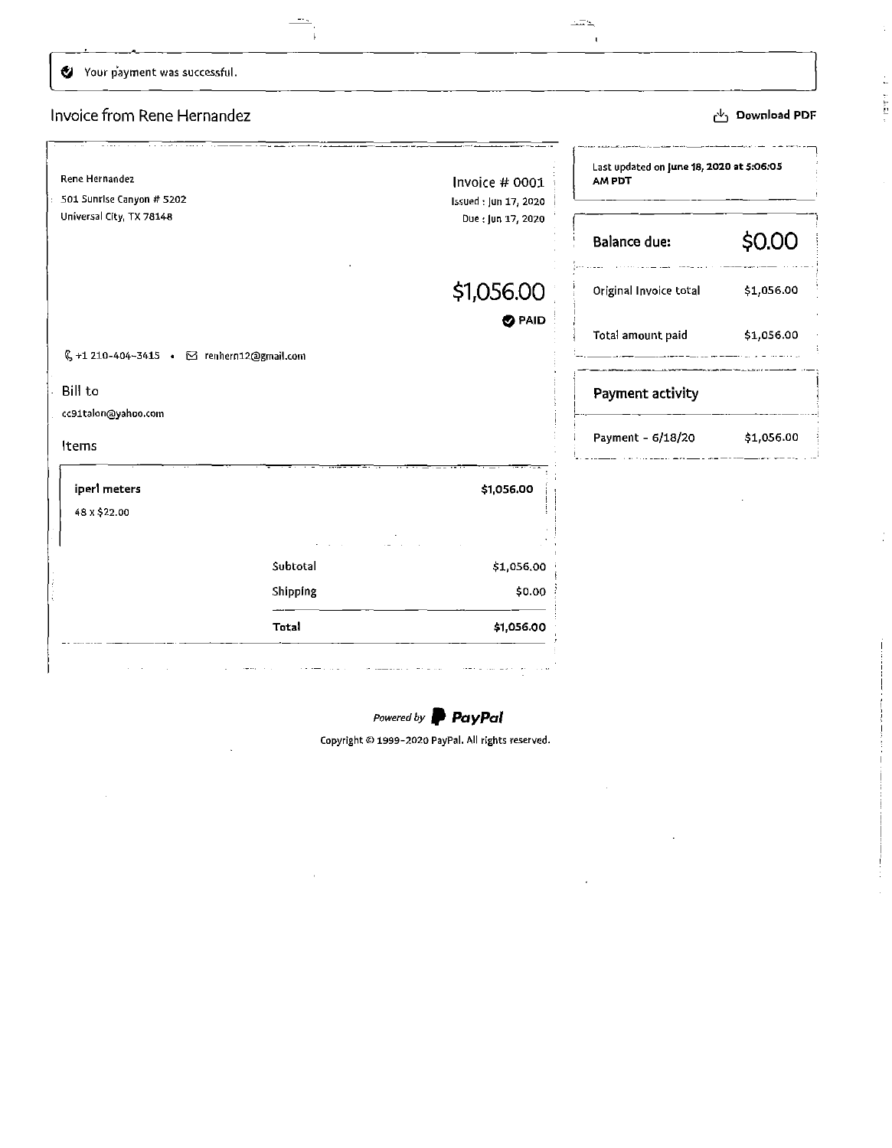$\bigcirc$  Your payment was successful.

 $-\cdot$  . j.

 $\sim$   $\sim$ 

#### Invoice from Rene Hernandez

| Rene Hernandez                              |          | Invoice # 0001        | Last updated on June 18, 2020 at 5:06:05<br>AM PDT |            |  |  |
|---------------------------------------------|----------|-----------------------|----------------------------------------------------|------------|--|--|
| 501 Sunrise Canyon # 5202                   |          | Issued : Jun 17, 2020 |                                                    |            |  |  |
| Universal City, TX 78148                    |          | Due: Jun 17, 2020     | <b>Balance due:</b>                                | \$0.00     |  |  |
|                                             |          | \$1,056.00            | Original Invoice total                             | \$1,056.00 |  |  |
| § +1 210-404-3415 · → Farenhern12@gmail.com |          | <b>O</b> PAID         | Total amount paid                                  | \$1,056.00 |  |  |
| Bill to                                     |          |                       | Payment activity                                   |            |  |  |
| cc91talon@yahoo.com<br>Items                |          |                       | Payment - 6/18/20                                  | \$1,056.00 |  |  |
| iperl meters                                |          | \$1,056.00            |                                                    |            |  |  |
| 48 x \$22.00                                |          |                       |                                                    |            |  |  |
|                                             | Subtotal | \$1,056.00            |                                                    |            |  |  |
|                                             | Shipping | \$0.00                |                                                    |            |  |  |
|                                             | Total    | \$1,056.00            |                                                    |            |  |  |

 $\biguplus$  Download PDF

÷

 $\pm\Xi\infty$ 

 $\mathbf{I}$ 



 $\sim$ 

Copyright© 1999-2020 PayPal. All rights reserved.

 $\sim 10$   $\pm$  $\ddotsc$ 

a la  $\frac{1}{2}$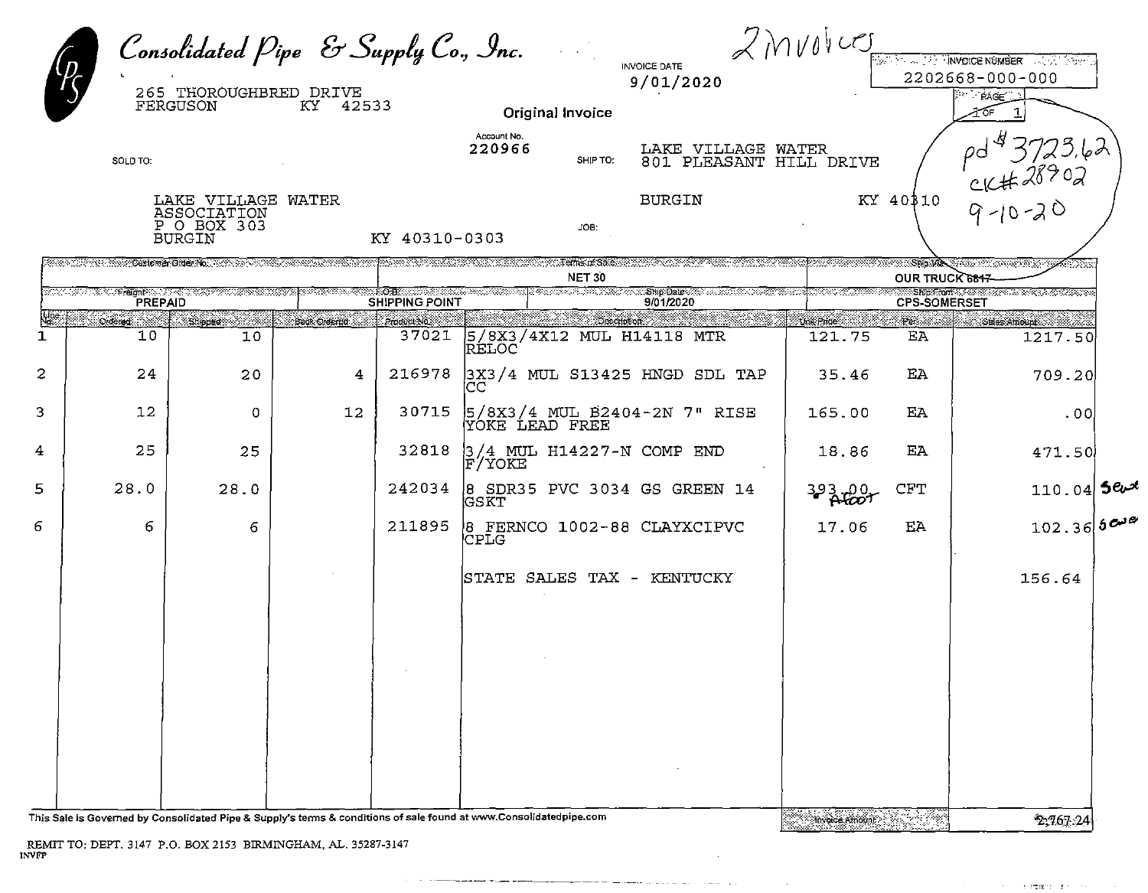|                     |                                                                                                                           |                                                                   | Consolidated Pipe & Supply Co., Inc. |                        |                                      |               | INVOICE DATE                                                                                                              | ZMVUcc                  |                       | <b>SALE AND A PROTOCE NUMBER</b>                  |  |
|---------------------|---------------------------------------------------------------------------------------------------------------------------|-------------------------------------------------------------------|--------------------------------------|------------------------|--------------------------------------|---------------|---------------------------------------------------------------------------------------------------------------------------|-------------------------|-----------------------|---------------------------------------------------|--|
|                     |                                                                                                                           | 265 THOROUGHBRED DRIVE<br>FERGUSON                                | 42533<br>KY                          |                        | Original Invoice                     |               | 9/01/2020                                                                                                                 |                         |                       | 2202668-000-000<br><sup>}≒ i</sup> PAGE ü<br>-Σo⊧ |  |
|                     | SOLD TO:                                                                                                                  |                                                                   |                                      |                        | Account No.<br>220966                | SHIP TO:      | LAKE VILLAGE WATER<br>801 PLEASANT HILL DRIVE                                                                             |                         |                       | 428902                                            |  |
|                     |                                                                                                                           | LAKE VILLAGE WATER<br>ASSOCIATION<br>P O BOX 303<br><b>BURGIN</b> |                                      | KY 40310-0303          |                                      | JOB:          | <b>BURGIN</b>                                                                                                             |                         | KY 40310              |                                                   |  |
|                     | <u> 1986 - 1987 - 1999 Destena Diderto, Anno 1990 - 1990 - 1990 - 1990 - 1990 - 1990 - 1990 - 1990 - 1990 - 1990</u>      |                                                                   |                                      |                        |                                      | <b>NET 30</b> | erns at sate and with a self-formation of the same of the same of the state of the same of the same of the same of the    |                         | <b>OUR TRUCK 6817</b> |                                                   |  |
|                     | to the second of the control of the control of the control of the control of the control of the control of the<br>PREPAID |                                                                   |                                      | <b>SHIPPING POINT</b>  |                                      |               | <u>oo ama maalaa madamaa madan maraa in yaa maalin aa maa dhaan madamaa madamaa maalaa madama madamaa ma</u><br>9/01/2020 |                         | <b>CPS-SOMERSET</b>   |                                                   |  |
| $\frac{1}{2}$<br>1. | <u>ිස්සේ හැ</u><br>10                                                                                                     | Supred and<br>10                                                  | Back Ordered                         | .<br>Podvalne<br>37021 | 5/8X3/4X12 MUL H14118 MTR            | Description   |                                                                                                                           | Unichne San S<br>121.75 | Pe (m. 18<br>EA       | Sales Amount                                      |  |
|                     |                                                                                                                           |                                                                   |                                      |                        | RÉLOC                                |               |                                                                                                                           |                         |                       | 1217.50                                           |  |
| 2                   | 24                                                                                                                        | 20                                                                | 4                                    | 216978                 |                                      |               | 3X3/4 MUL S13425 HNGD SDL TAP                                                                                             | 35.46                   | ЕA                    | 709.20                                            |  |
| 3.                  | 12                                                                                                                        | 0                                                                 | 12                                   | 30715                  | YÓKE LEAD FREE                       |               | $5/8X3/4$ MUL B2404-2N 7" RISE                                                                                            | 165.00                  | EА                    | .00                                               |  |
| 4                   | 25                                                                                                                        | 25                                                                |                                      | 32818                  | 3/4 MUL H14227-N COMP END<br> F/YOKE |               |                                                                                                                           | 18.86                   | ЕA                    | 471.50                                            |  |
| 5                   | 28.0                                                                                                                      | 28.0                                                              |                                      | 242034                 | <b>IGSKT</b>                         |               | 8 SDR35 PVC 3034 GS GREEN 14                                                                                              |                         | <b>CFT</b>            | اصع <b>5 (1</b> 0 .04 $\sigma$                    |  |
| 6                   | 6                                                                                                                         | 6                                                                 |                                      | 211895                 | <b>CPLG</b>                          |               | 8 FERNCO 1002-88 CLAYXCIPVC                                                                                               | 17.06                   | EA                    | 102.36 500%                                       |  |
|                     |                                                                                                                           |                                                                   |                                      |                        |                                      |               | STATE SALES TAX - KENTUCKY                                                                                                |                         |                       | 156.64                                            |  |
|                     |                                                                                                                           |                                                                   |                                      |                        |                                      |               |                                                                                                                           |                         |                       |                                                   |  |
|                     |                                                                                                                           |                                                                   |                                      |                        |                                      |               |                                                                                                                           |                         |                       |                                                   |  |
|                     |                                                                                                                           |                                                                   |                                      |                        |                                      |               |                                                                                                                           |                         |                       |                                                   |  |
|                     |                                                                                                                           |                                                                   |                                      |                        |                                      |               |                                                                                                                           |                         |                       |                                                   |  |
|                     | This Sale is Governed by Consolidated Pipe & Supply's terms & conditions of sale found at www.Consolidatedpipe.com        |                                                                   |                                      |                        |                                      |               |                                                                                                                           | invare Amount : A       |                       | 2:767.24                                          |  |

المواسعين مربين

 $\sim$ 

والواصل ويتراس ومستعدد ومسترددها

REMIT TO: DEPT. 3147 P.O. BOX 2153 BIRMINGHAM, AL. 35287-3147 INVEP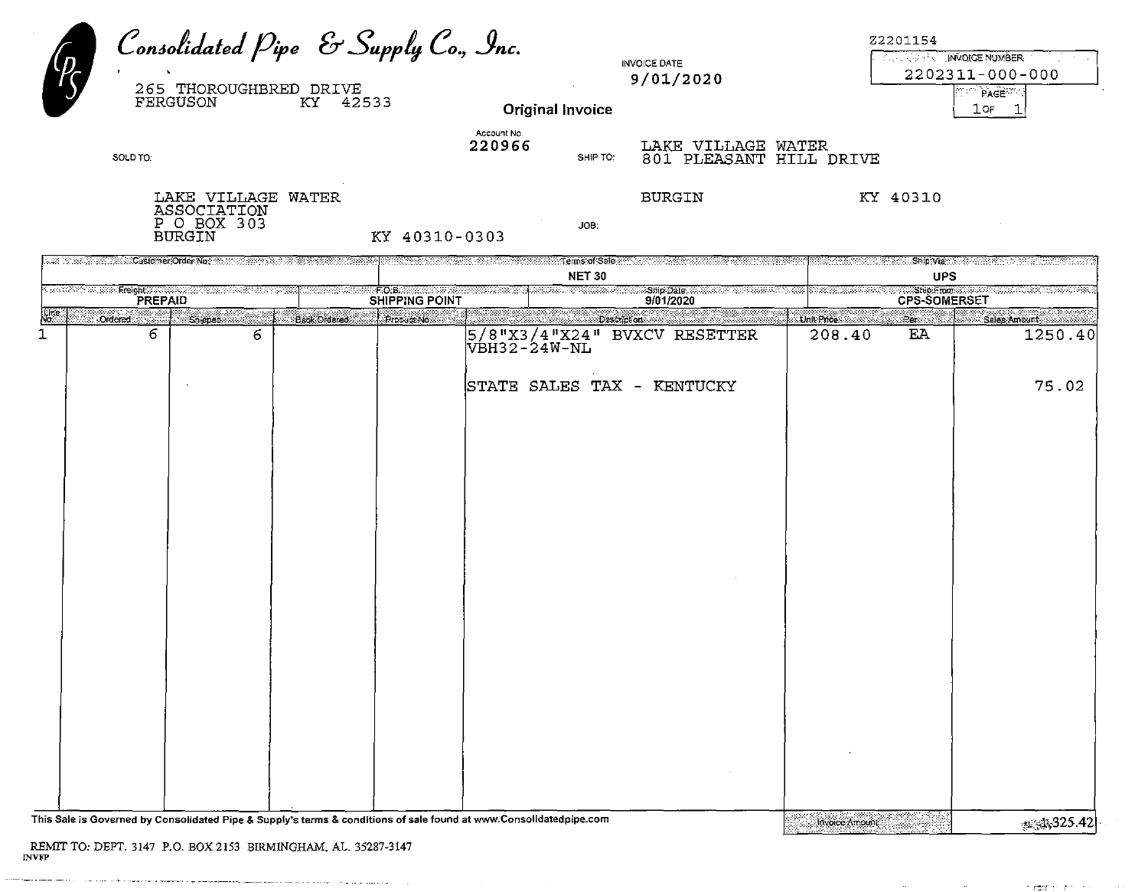|                 | Consolidated Pipe & Supply Co., Inc.<br>265 THOROUGHBRED DRIVE<br>FERGUSON                                         |                    | KY 42533     |               |                       | <b>Original Invoice</b> | <b>INVOICE DATE</b><br>9/01/2020                                                                          |                           | 22201154   | <b>CALCULATION INVOICE NUMBER</b><br>2202311-000-000<br><b>PAGE</b><br>1oF.<br>Ъ. |
|-----------------|--------------------------------------------------------------------------------------------------------------------|--------------------|--------------|---------------|-----------------------|-------------------------|-----------------------------------------------------------------------------------------------------------|---------------------------|------------|-----------------------------------------------------------------------------------|
|                 | SOLD TO:                                                                                                           |                    |              |               | Account No.<br>220966 | SHIP TO:                | LAKE VILLAGE WATER<br>801 PLEASANT HILL DRIVE                                                             |                           |            |                                                                                   |
|                 | ASSOCIATION<br>P O BOX 303<br><b>BURGIN</b>                                                                        | LAKE VILLAGE WATER |              | KY 40310-0303 |                       | JOB.                    | <b>BURGIN</b>                                                                                             |                           | KY 40310   |                                                                                   |
|                 |                                                                                                                    | <b>NET 30</b>      |              |               |                       | <b>UPS</b>              |                                                                                                           |                           |            |                                                                                   |
|                 |                                                                                                                    |                    |              |               |                       |                         | with the two will interest of $\mathsf{Shp}\mathsf{Dale}$ . The first contribution of the Wi<br>9/01/2020 |                           |            | <b>Example 2014</b><br>CPS-SOMERSET                                               |
| Line<br>No<br>1 | Crdered<br>Shipped<br>6                                                                                            | 6                  | Eack Ordered | Product No.   | VBH32-24W-NL          | Description             | 5/8"X3/4"X24" BVXCV RESETTER                                                                              | Unit Pricessing<br>208.40 | Pers<br>EA | Sales Amount<br>1250.40                                                           |
|                 |                                                                                                                    |                    |              |               |                       |                         | STATE SALES TAX - KENTUCKY                                                                                |                           |            | 75.02                                                                             |
|                 | This Sale is Governed by Consolidated Pipe & Supply's terms & conditions of sale found at www.Consolidatedpipe.com |                    |              |               |                       |                         |                                                                                                           | Invoice Amount            |            | 25.42                                                                             |

 $\label{eq:1} \begin{array}{lllllllllllllllll} \mathbf{1} & \mathbf{1} & \mathbf{1} & \mathbf{1} & \mathbf{1} & \mathbf{1} & \mathbf{1} & \mathbf{1} & \mathbf{1} & \mathbf{1} & \mathbf{1} & \mathbf{1} & \mathbf{1} & \mathbf{1} & \mathbf{1} & \mathbf{1} & \mathbf{1} & \mathbf{1} & \mathbf{1} & \mathbf{1} & \mathbf{1} & \mathbf{1} & \mathbf{1} & \mathbf{1} & \mathbf{1} & \mathbf{1} & \mathbf{1} & \mathbf{1} & \math$ 

منصب منابعات

ando e a marca e que se mencanterian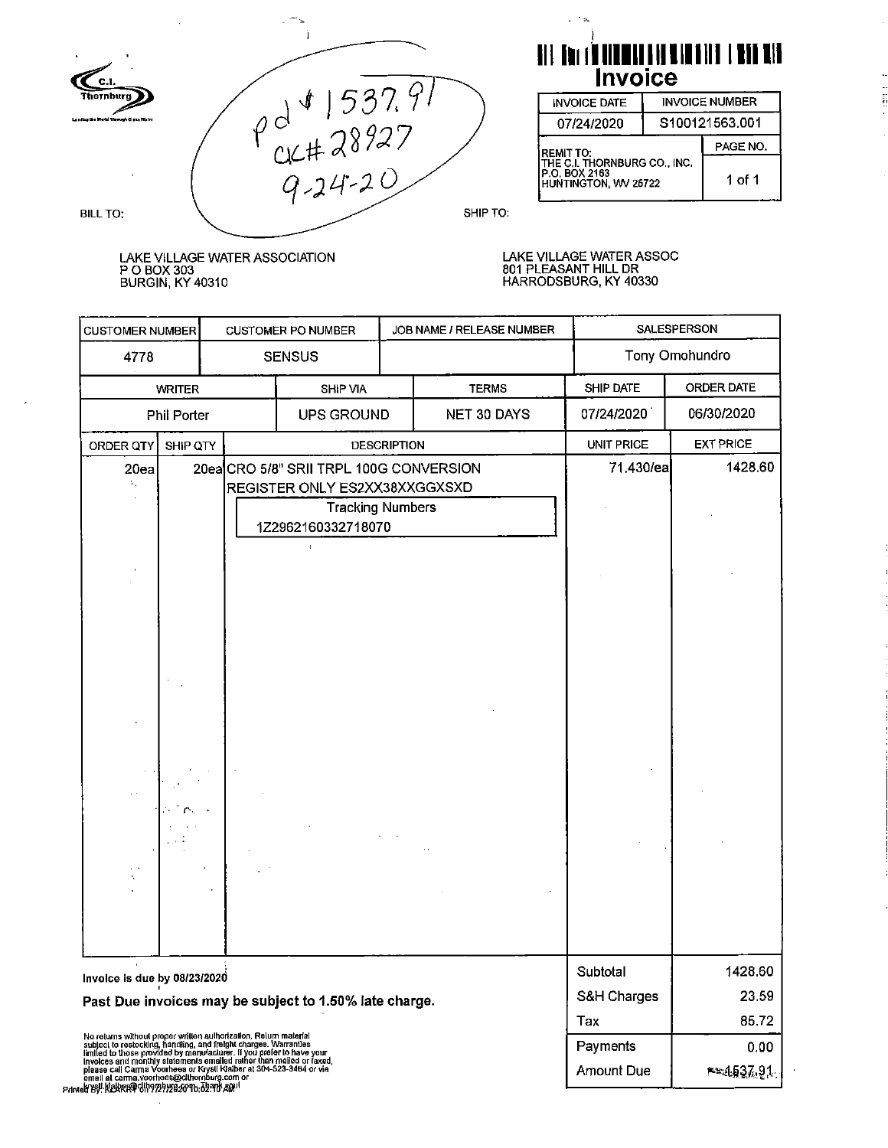

# 

 $\begin{bmatrix} 1 \\ 1 \\ 2 \end{bmatrix}$ 

| <b>INVOICE DATE</b>                                                   | <b>INVOICE NUMBER</b> |                             |  |
|-----------------------------------------------------------------------|-----------------------|-----------------------------|--|
| 07/24/2020                                                            |                       | S <sub>100121563</sub> .001 |  |
| <b>REMIT TO:</b>                                                      |                       | PAGE NO.                    |  |
| THE C.I. THORNBURG CO., INC.<br>P.O. BOX 2163<br>HUNTINGTON, WV 25722 |                       | 1 of 1                      |  |

LAKE VILLAGE WATER ASSOCIATION<br>P O BOX 303<br>BURGIN, KY 40310

## LAKE VILLAGE WATER ASSOC<br>801 PLEASANT HILL DR<br>HARRODSBURG, KY 40330

| <b>CUSTOMER NUMBER</b>                                                                                                                                                                                                                  |                    | <b>CUSTOMER PO NUMBER</b>                                                                                                                 |                    | JOB NAME / RELEASE NUMBER | SALESPERSON                   |                                   |  |
|-----------------------------------------------------------------------------------------------------------------------------------------------------------------------------------------------------------------------------------------|--------------------|-------------------------------------------------------------------------------------------------------------------------------------------|--------------------|---------------------------|-------------------------------|-----------------------------------|--|
| 4778                                                                                                                                                                                                                                    |                    | <b>SENSUS</b>                                                                                                                             |                    |                           |                               | Tony Omohundro                    |  |
|                                                                                                                                                                                                                                         | <b>WRITER</b>      | SHIP VIA                                                                                                                                  |                    | <b>TERMS</b>              | SHIP DATE                     | ORDER DATE                        |  |
|                                                                                                                                                                                                                                         | <b>Phil Porter</b> | UPS GROUND                                                                                                                                |                    | NET 30 DAYS               | 07/24/2020                    |                                   |  |
| ORDER QTY                                                                                                                                                                                                                               | SHIP QTY           |                                                                                                                                           | <b>DESCRIPTION</b> |                           | <b>UNIT PRICE</b>             | <b>EXT PRICE</b>                  |  |
| 20ea                                                                                                                                                                                                                                    |                    | 20ea CRO 5/8" SRII TRPL 100G CONVERSION<br>REGISTER ONLY ES2XX38XXGGXSXD<br><b>Tracking Numbers</b><br>1Z2962160332718070<br>$\mathbf{t}$ |                    |                           | 71.430/ea                     | 1428.60                           |  |
| Invoice is due by 08/23/2020                                                                                                                                                                                                            |                    | Past Due invoices may be subject to 1.50% late charge.                                                                                    |                    |                           | Subtotal<br>S&H Charges       | 1428.60<br>23.59                  |  |
| No relums without proper written authorization, Relum material<br>subject to restocking, handling, and freight charges. Warranties<br>limited to those provided by manufacturer. If you prefer to have your<br>invoices and monthly sta |                    |                                                                                                                                           |                    |                           | Tax<br>Payments<br>Amount Due | 85.72<br>0.00<br><b>**4537.91</b> |  |

Printed By Relaxed the 72 Hz 82 Think 40 Hz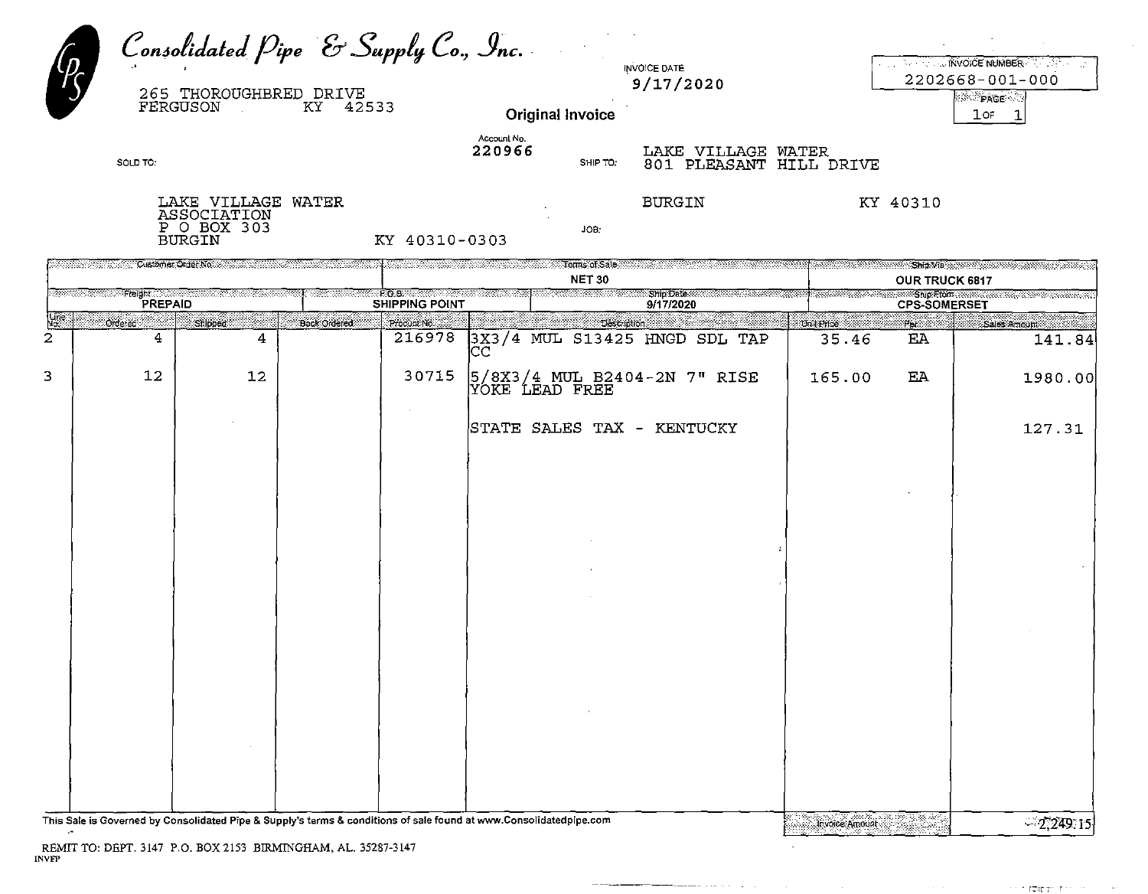|                      | SOLD TO:                                                                               | 265 THOROUGHBRED DRIVE<br>FERGUSON                         | Consolidated Pipe & Supply Co., Inc.<br>KY 42533                                                                   |                                        | Account No.<br>220966      | Original Invoice<br>SHIP TO:             | INVOICE DATE<br>9/17/2020<br>LAKE VILLAGE WATER<br>801 PLEASANT HILL DRIVE |                       |                   | <b>Example 20 INVOICE NUMBER AND APPLICATION</b><br>2202668-001-000<br>▓▓░░ <mark>₽ÀĞE</mark> ░░<br>$1$ or |
|----------------------|----------------------------------------------------------------------------------------|------------------------------------------------------------|--------------------------------------------------------------------------------------------------------------------|----------------------------------------|----------------------------|------------------------------------------|----------------------------------------------------------------------------|-----------------------|-------------------|------------------------------------------------------------------------------------------------------------|
|                      |                                                                                        | LAKE VILLAGE WATER<br>ASSOCIATION<br>P O BOX 303<br>BURGIN |                                                                                                                    | KY 40310-0303                          |                            | GOL.                                     | <b>BURGIN</b>                                                              |                       | KY 40310          |                                                                                                            |
|                      | <b>Customer Order No. 2016</b><br>્સ્ટેન્સ્ટર સ્ટ્રિસિટર બ <b>Freight</b> (સિટ્સ્ટરસ્ટ |                                                            |                                                                                                                    | e <b>Robe</b> rt (Alexandro Alexandro) |                            | Terms of Sales<br><b>NET 30</b>          |                                                                            |                       | OUR TRUCK 6817    |                                                                                                            |
| $\sqrt{\frac{1}{2}}$ | PREPAID                                                                                |                                                            |                                                                                                                    | <b>SHIPPING POINT</b><br>Product No.   |                            | alakaaliikka Ship Datealiik<br>9/17/2020 |                                                                            |                       |                   |                                                                                                            |
| 2                    | Ordered<br>4                                                                           | Shipped<br>4                                               | Back Ordered                                                                                                       | 216978                                 | $\mathop{\rm CC}\nolimits$ | Description.                             | 3X3/4 MUL S13425 HNGD SDL TAP                                              | Unit Prince:<br>35.46 | Pers<br><b>EA</b> | Sales Amount<br>141.84                                                                                     |
| 3                    | 12                                                                                     | 12                                                         |                                                                                                                    | 30715                                  | YOKE LEAD FREE             |                                          | 5/8X3/4 MUL B2404-2N 7" RISE                                               | 165.00                | EA                | 1980.00                                                                                                    |
|                      |                                                                                        |                                                            | This Sale is Governed by Consolidated Pipe & Supply's terms & conditions of sale found at www.Consolidatedpipe.com |                                        |                            | STATE SALES TAX - KENTUCKY               |                                                                            | .<br>Invoice Amount   |                   | 127.31<br>$-2,249.15$                                                                                      |

 $\sim$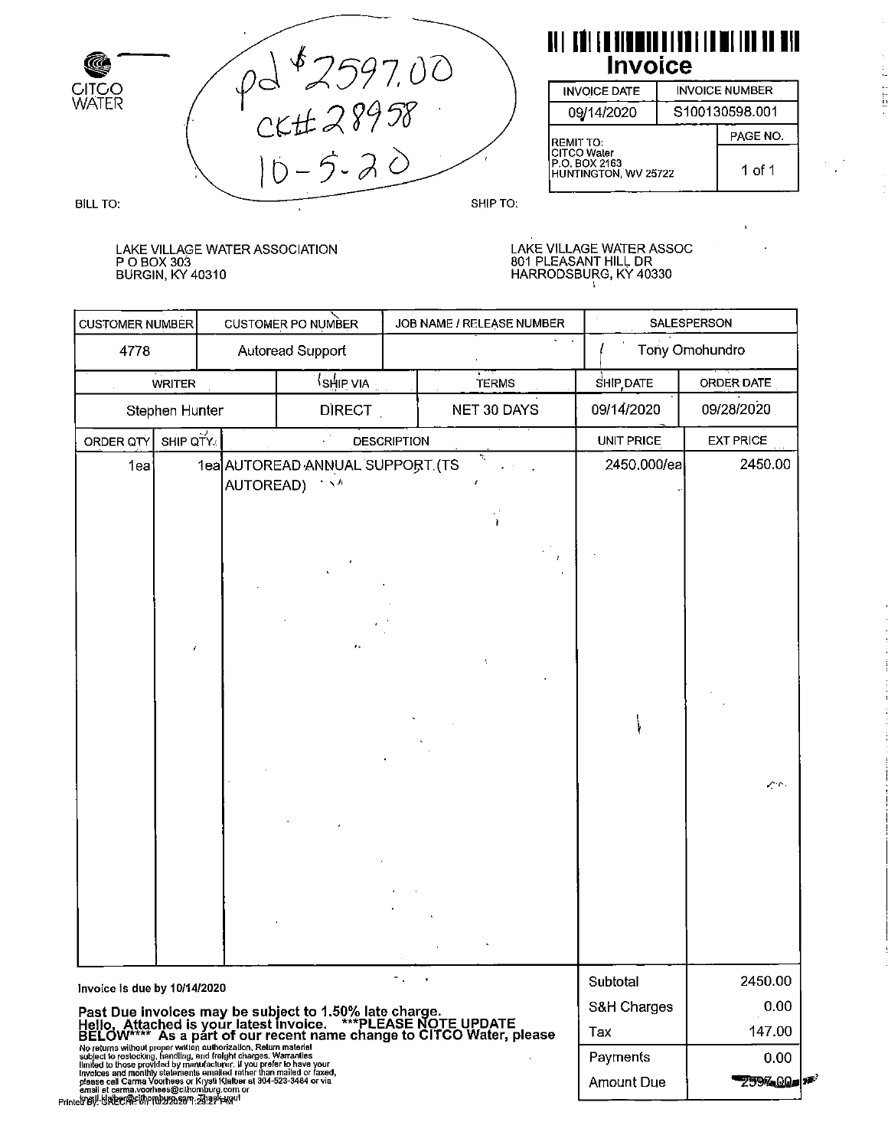

## 

| <b>INVOICE DATE</b>                                         | <b>INVOICE NUMBER</b> |                |  |  |
|-------------------------------------------------------------|-----------------------|----------------|--|--|
| 09/14/2020                                                  |                       | S100130598.001 |  |  |
| <b>REMIT TO:</b>                                            |                       | PAGE NO.       |  |  |
| <b>CITCO Water</b><br>P.O. BOX 2163<br>HUNTINGTON, WV 25722 |                       | 1 of 1         |  |  |

i<br>En li

LAKE VILLAGE WATER ASSOCIATION P O BOX 303<br>BURGIN, KY 40310

LAKE VILLAGE WATER ASSOC<br>801 PLEASANT HILL DR<br>HARRODSBURG, KY 40330 ÷

|                                                                                                                                                                                                                                                                                      | <b>CUSTOMER PO NUMBER</b><br><b>CUSTOMER NUMBER</b> |  |                                                                                                                                                                                                      | JOB NAME / RELEASE NUMBER |              |                                      | SALESPERSON                                                                      |
|--------------------------------------------------------------------------------------------------------------------------------------------------------------------------------------------------------------------------------------------------------------------------------------|-----------------------------------------------------|--|------------------------------------------------------------------------------------------------------------------------------------------------------------------------------------------------------|---------------------------|--------------|--------------------------------------|----------------------------------------------------------------------------------|
| 4778                                                                                                                                                                                                                                                                                 |                                                     |  | Autoread Support                                                                                                                                                                                     |                           |              |                                      | Tony Omohundro                                                                   |
|                                                                                                                                                                                                                                                                                      | <b>WRITER</b>                                       |  | <sup>{</sup> SHIP VIA                                                                                                                                                                                |                           | <b>TERMS</b> | SHIP, DATE                           | ORDER DATE                                                                       |
|                                                                                                                                                                                                                                                                                      | Stephen Hunter                                      |  | <b>DIRECT</b>                                                                                                                                                                                        |                           | NET 30 DAYS  | 09/14/2020                           | 09/28/2020                                                                       |
| ORDER QTY                                                                                                                                                                                                                                                                            | SHIP QTY.                                           |  |                                                                                                                                                                                                      | <b>DESCRIPTION</b>        |              | <b>UNIT PRICE</b>                    | <b>EXT PRICE</b>                                                                 |
| 1ea                                                                                                                                                                                                                                                                                  |                                                     |  | 1ea AUTOREAD ANNUAL SUPPORT (TS<br>AUTOREAD) 134                                                                                                                                                     |                           |              | 2450.000/ea                          | 2450.00                                                                          |
|                                                                                                                                                                                                                                                                                      |                                                     |  |                                                                                                                                                                                                      |                           |              |                                      | $\mathcal{L}$ .                                                                  |
| Invoice is due by 10/14/2020                                                                                                                                                                                                                                                         |                                                     |  | Past Due invoices may be subject to 1.50% late charge.<br>Hello,  Attached is your latest invoice.    ***PLEASE NOTE UPDATE<br>BELOW****  As a part of our recent name change to CITCO Water, please | ٠.                        |              | Subtotal<br>S&H Charges              | 2450.00<br>0.00                                                                  |
| No returns without proper written authorization. Return material<br>subject to restocking, handling, and freight charges. Warranties<br>subject to restocking, handling, and freight charges. Warranties<br>limited to those provided b<br>email at carma voorhees@clinomburg.com or |                                                     |  |                                                                                                                                                                                                      |                           |              | Tax<br>Payments<br><b>Amount Due</b> | 147.00<br>0.00<br><del>႗</del> 予᠑რ <sub>ა</sub> ᢕᢕᢧ <mark></mark> ҙ <sup>ӄ</sup> |

Printed By! GREEC REGIONS 2019 7312P HYON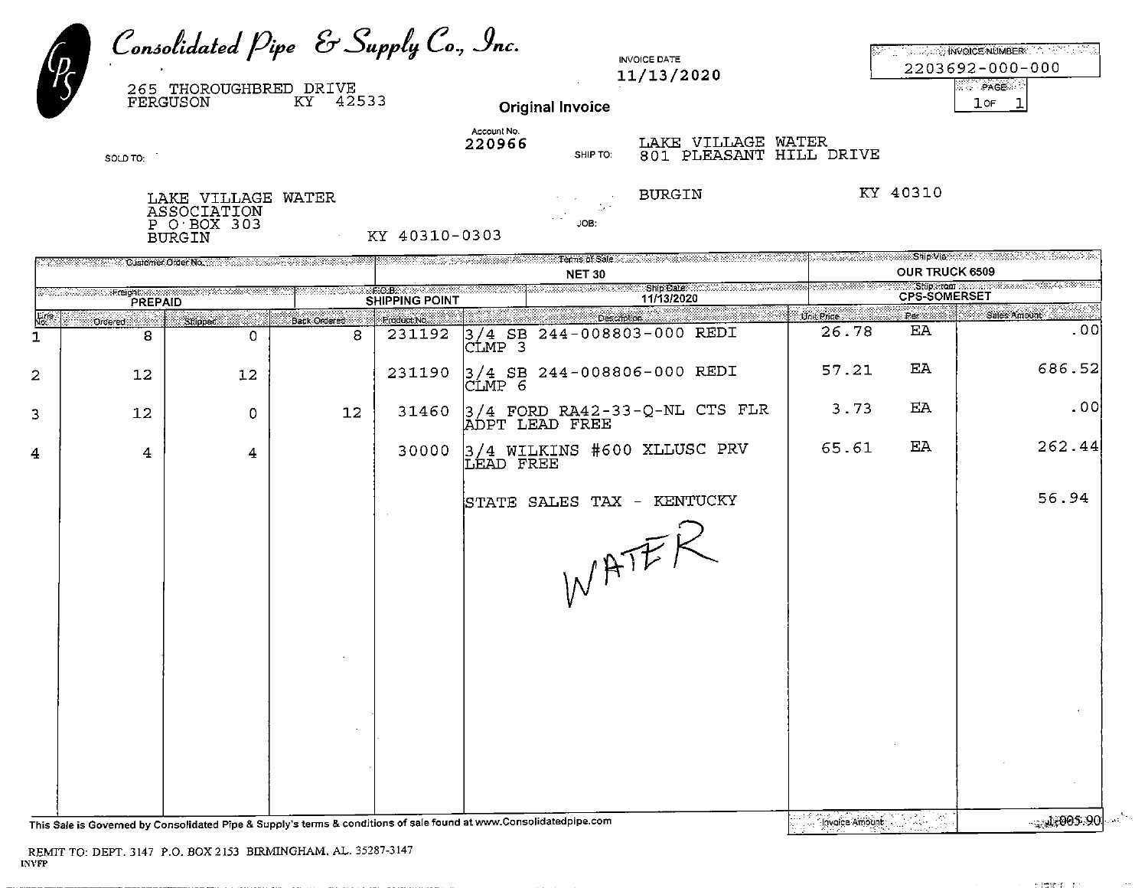|                               | Consolidated Pipe & Supply Co., Inc.<br>265 THOROUGHBRED DRIVE<br><b>FERGUSON</b>                                          | 42533<br>KY       |                                                          |                                      | Original Invoice                  | <b>INVOICE DATE</b><br>11/13/2020                                                                               |                     |                     | <b>THE EXPERIMENT OF THE STATE OF STATE AND STATE</b><br>2203692-000-000<br>l≋్. PAGEे<br>$1$ OF |
|-------------------------------|----------------------------------------------------------------------------------------------------------------------------|-------------------|----------------------------------------------------------|--------------------------------------|-----------------------------------|-----------------------------------------------------------------------------------------------------------------|---------------------|---------------------|--------------------------------------------------------------------------------------------------|
| SOLD TO:                      |                                                                                                                            |                   |                                                          | Account No.<br>220966                | SHIP TO:                          | LAKE VILLAGE WATER<br>PLEASANT<br>801                                                                           | HILL DRIVE          |                     |                                                                                                  |
|                               | LAKE VILLAGE<br>ASSOCIATION<br>P O BOX 303<br><b>BURGIN</b>                                                                | WATER             | KY 40310-0303                                            |                                      | JOB.                              | <b>BURGIN</b>                                                                                                   |                     | KY 40310            |                                                                                                  |
|                               | <b>Customer Order No. 2008. And State Control of State Adventure Control of State Adventure Control of State Adventure</b> |                   |                                                          |                                      |                                   | Terms of Sale a construction of the construction of the construction of the construction of the construction of |                     |                     | Ship Via a shekara shekara ta 1990 - Alban                                                       |
|                               |                                                                                                                            |                   |                                                          |                                      | <b>NET 30</b>                     |                                                                                                                 |                     | OUR TRUCK 6509      |                                                                                                  |
| ©©©kalont⊗©⊗⊗©©©©©<br>PREPAID |                                                                                                                            |                   | ter <b>Robb</b> otter Catalogue<br><b>SHIPPING POINT</b> |                                      | TRACTORERIE                       | Ship Bate (Company of Million)<br>11/13/2020                                                                    |                     | <b>CPS-SOMERSET</b> | Ship, From Warn Howkins and William Provinci                                                     |
| Ordered<br>8                  | <b>Shipped</b><br>$\Omega$                                                                                                 | Back Ordered<br>8 | .<br>Product:No.<br>231192                               | $^{\prime}$ 4<br>ر 3ا<br>3<br>ICLMP. | Description:<br>SB 244-008803-000 | REDI                                                                                                            | Unit Price<br>26.78 | .<br>Fer<br>EA      | Sales Amount<br>. 00                                                                             |
| 12                            | 12                                                                                                                         |                   | 231190                                                   | $\left 3\right/4$<br>ІСІМР 6         |                                   | SB 244-008806-000 REDI                                                                                          | 57.21               | EA                  | 686.52                                                                                           |
| 12                            | $\Omega$                                                                                                                   | 12                | 31460                                                    |                                      | ADPT LEAD FREE                    | $ 3/4$ FORD RA42-33-Q-NL CTS FLR                                                                                | 3.73                | EA                  | .00                                                                                              |

STATE SALES TAX - KENTUCKY

WATER

This Sale is Governed by Consolidated Pipe & Supply's terms & conditions of sale found at www.Consolidatedpipe.com

 $\mathcal{L}$ 

87.88

**WEIGHT Line**  $\overline{1}$ 

 $\overline{a}$ 

3

 $\overline{\mathbf{4}}$ 

Invoice Ambunt

A.

905.90 بي.<br>سيديون

56.94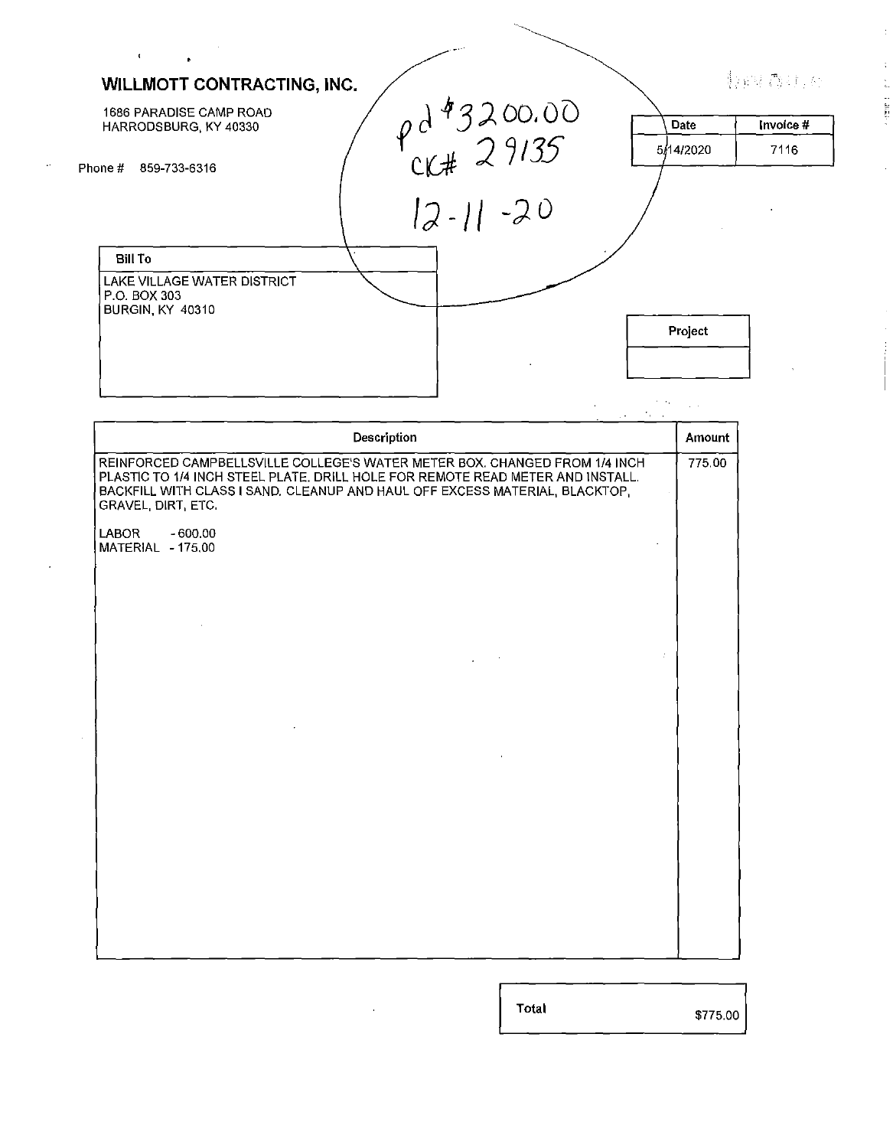| $\mathbf{r}$                                                                                                                                                                                                                                                                                                        |                                       |  |             |           |
|---------------------------------------------------------------------------------------------------------------------------------------------------------------------------------------------------------------------------------------------------------------------------------------------------------------------|---------------------------------------|--|-------------|-----------|
| <b>WILLMOTT CONTRACTING, INC.</b>                                                                                                                                                                                                                                                                                   |                                       |  |             | 脂腺激动态     |
| 1686 PARADISE CAMP ROAD                                                                                                                                                                                                                                                                                             |                                       |  |             |           |
| HARRODSBURG, KY 40330                                                                                                                                                                                                                                                                                               |                                       |  | <b>Date</b> | Invoice # |
| Phone # 859-733-6316                                                                                                                                                                                                                                                                                                |                                       |  | 5/14/2020   | 7116      |
|                                                                                                                                                                                                                                                                                                                     |                                       |  |             |           |
|                                                                                                                                                                                                                                                                                                                     | $9243200.00$<br>CK# 29135<br>12-11-20 |  |             |           |
| <b>Bill To</b>                                                                                                                                                                                                                                                                                                      |                                       |  |             |           |
| LAKE VILLAGE WATER DISTRICT<br>P.O. BOX 303                                                                                                                                                                                                                                                                         |                                       |  |             |           |
| <b>BURGIN, KY 40310</b>                                                                                                                                                                                                                                                                                             |                                       |  |             |           |
|                                                                                                                                                                                                                                                                                                                     |                                       |  | Project     |           |
|                                                                                                                                                                                                                                                                                                                     |                                       |  |             |           |
|                                                                                                                                                                                                                                                                                                                     |                                       |  |             |           |
|                                                                                                                                                                                                                                                                                                                     |                                       |  | Amount      |           |
|                                                                                                                                                                                                                                                                                                                     |                                       |  |             |           |
| REINFORCED CAMPBELLSVILLE COLLEGE'S WATER METER BOX. CHANGED FROM 1/4 INCH<br>PLASTIC TO 1/4 INCH STEEL PLATE. DRILL HOLE FOR REMOTE READ METER AND INSTALL.<br>BACKFILL WITH CLASS I SAND. CLEANUP AND HAUL OFF EXCESS MATERIAL, BLACKTOP,<br>GRAVEL, DIRT, ETC.<br><b>LABOR</b><br>$-600.00$<br>MATERIAL - 175.00 | <b>Description</b>                    |  | 775.00      |           |
|                                                                                                                                                                                                                                                                                                                     |                                       |  |             |           |
|                                                                                                                                                                                                                                                                                                                     |                                       |  |             |           |
|                                                                                                                                                                                                                                                                                                                     |                                       |  |             |           |
|                                                                                                                                                                                                                                                                                                                     |                                       |  |             |           |
|                                                                                                                                                                                                                                                                                                                     |                                       |  |             |           |
|                                                                                                                                                                                                                                                                                                                     |                                       |  |             |           |
|                                                                                                                                                                                                                                                                                                                     |                                       |  |             |           |
|                                                                                                                                                                                                                                                                                                                     |                                       |  |             |           |
|                                                                                                                                                                                                                                                                                                                     |                                       |  |             |           |
|                                                                                                                                                                                                                                                                                                                     |                                       |  |             |           |
|                                                                                                                                                                                                                                                                                                                     |                                       |  |             |           |
|                                                                                                                                                                                                                                                                                                                     |                                       |  |             |           |

 $\ddot{\phantom{a}}$ 

 $\cdot$ 

**Total** 

 $\frac{1}{2} \sum_{i=1}^n \frac{1}{2} \sum_{j=1}^n \frac{1}{2} \sum_{j=1}^n \frac{1}{2} \sum_{j=1}^n \frac{1}{2} \sum_{j=1}^n \frac{1}{2} \sum_{j=1}^n \frac{1}{2} \sum_{j=1}^n \frac{1}{2} \sum_{j=1}^n \frac{1}{2} \sum_{j=1}^n \frac{1}{2} \sum_{j=1}^n \frac{1}{2} \sum_{j=1}^n \frac{1}{2} \sum_{j=1}^n \frac{1}{2} \sum_{j=1}^n \frac{1}{2} \sum_{j=$ 

\$775.001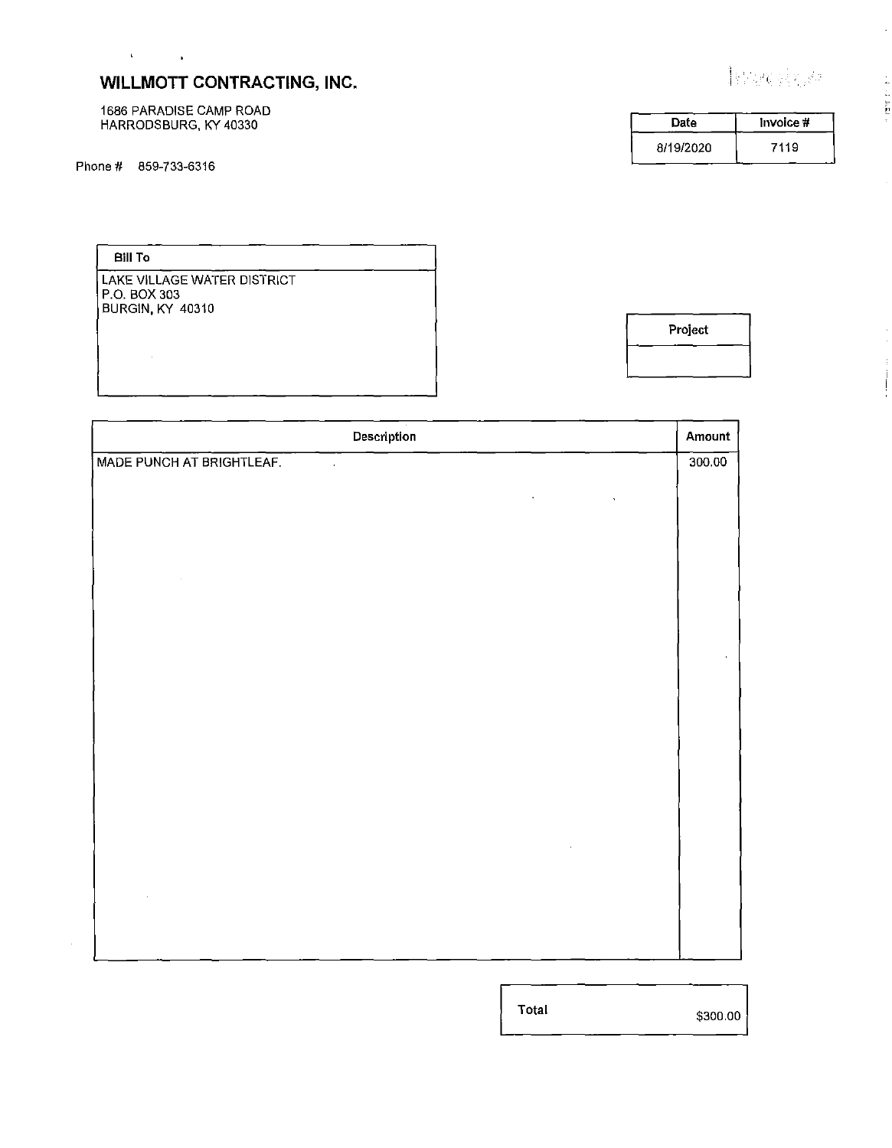1686 PARADISE CAMP ROAD HARRODSBURG, KY 40330

 $\mathcal{O}(\sqrt{N})$  and  $\mathcal{O}(\sqrt{N})$ 

|  |  |  |  | $\left\ \psi_{\alpha}^{\dagger}\psi_{\alpha}^{\dagger}\psi_{\beta}^{\dagger}\psi_{\beta}^{\dagger}\psi_{\beta}^{\dagger}\psi_{\beta}^{\dagger}\right\ _{2}$ |  |
|--|--|--|--|-------------------------------------------------------------------------------------------------------------------------------------------------------------|--|
|  |  |  |  |                                                                                                                                                             |  |

| Invoice # |
|-----------|
| 7119      |
|           |

**Bill To** 

 $\sim$ 

LAKE VILLAGE WATER DISTRICT P.O. BOX 303 BURGIN, KY 40310

**Project** 

| Description               | Amount |
|---------------------------|--------|
| MADE PUNCH AT BRIGHTLEAF. | 300.00 |
| $\hat{\textbf{v}}$        |        |
|                           |        |
|                           |        |
|                           |        |
|                           |        |
|                           |        |
|                           |        |
|                           |        |
|                           |        |
|                           |        |
|                           |        |
|                           |        |
|                           |        |
|                           |        |
|                           |        |
|                           |        |

Total

\$300.00 1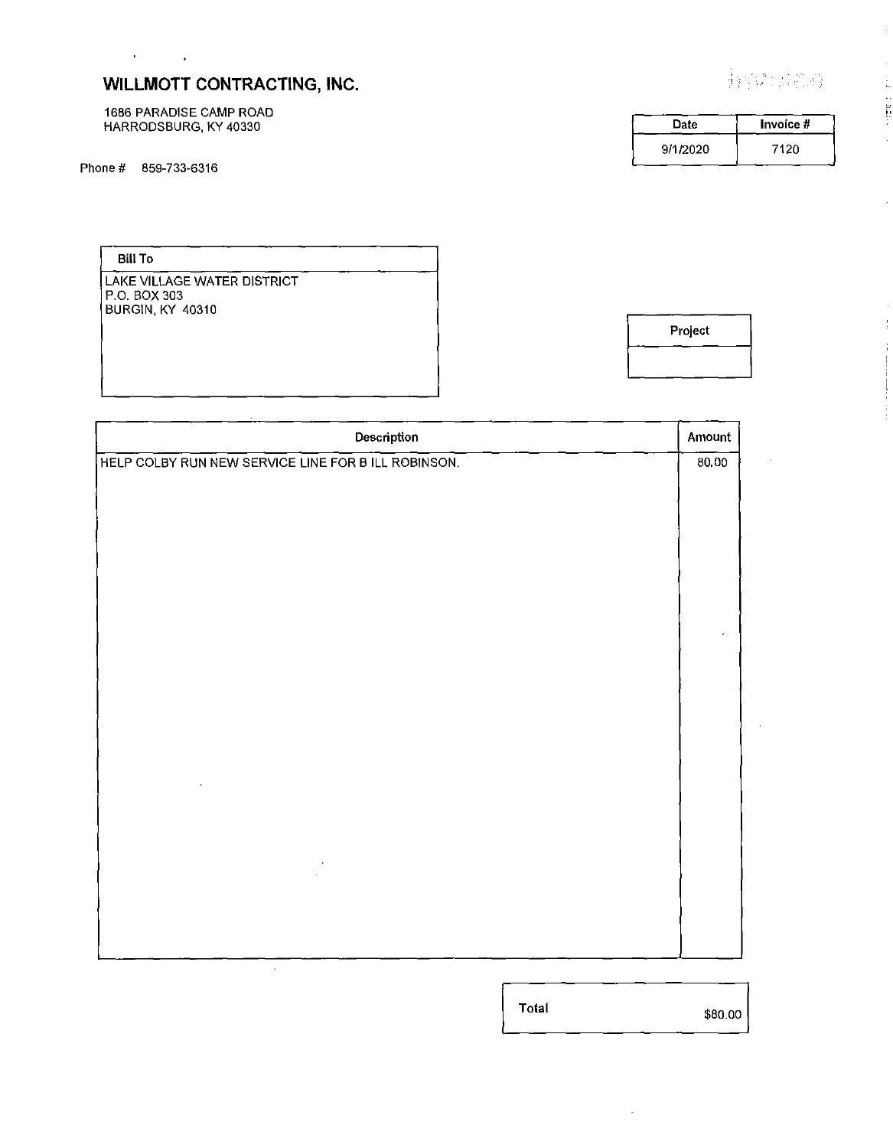1686 PARADISE CAMP ROAD HARRODSBURG, KY 40330

 $\sim 10^{11}$  km s  $^{-1}$  km s  $^{-1}$ 

|  | 静脉加速流液 |  |  |  |
|--|--------|--|--|--|
|  |        |  |  |  |

 $\bar{z}$ 

| Date     | Invoice # |
|----------|-----------|
| 9/1/2020 | 7120      |

Bill To

LAKE VILLAGE WATER DISTRICT P.O. BOX 303 BURGIN, KY 40310

Project

| Description                                         | Amount |
|-----------------------------------------------------|--------|
| HELP COLBY RUN NEW SERVICE LINE FOR B ILL ROBINSON. | 80.00  |
|                                                     |        |
|                                                     |        |
|                                                     |        |
|                                                     |        |
|                                                     |        |
|                                                     |        |
|                                                     |        |
|                                                     |        |
|                                                     |        |
|                                                     |        |
|                                                     |        |
|                                                     |        |
|                                                     |        |
|                                                     |        |
|                                                     |        |
|                                                     |        |
|                                                     |        |
|                                                     |        |
|                                                     |        |
|                                                     |        |
| à.                                                  |        |

Total

\$80.00 1

 $\hat{\mathcal{L}}$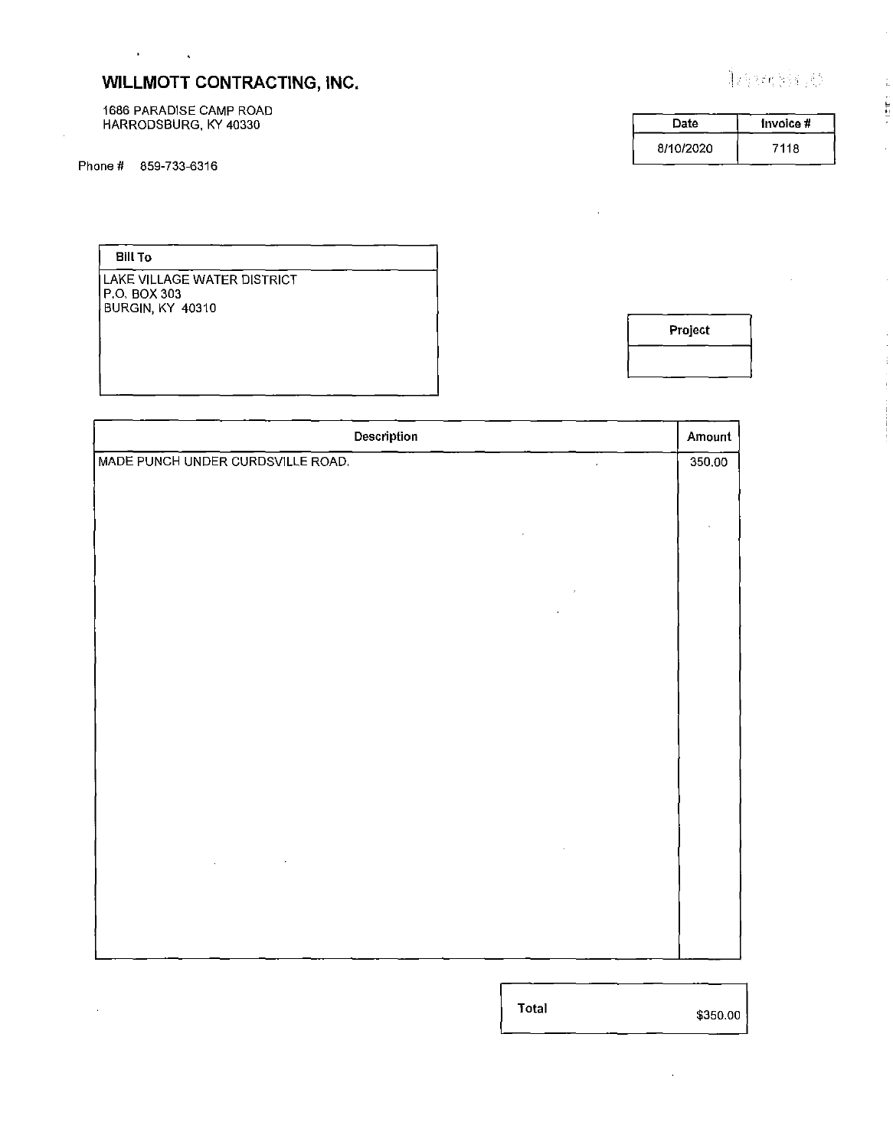1686 PARADISE CAMP ROAD HARRODSBURG, KY 40330

J,

 $\mathcal{O}(10^{-10})$  . The  $\mathcal{O}(10^{-10})$ 

|  |  |  | 特拉伯姆斯特 |
|--|--|--|--------|
|  |  |  |        |
|  |  |  |        |

| Date      | Invoice # |
|-----------|-----------|
| 8/10/2020 | 7118      |

Bill To

 $\mathbb{Z}^2$ 

LAKE VILLAGE WATER DISTRICT P.O. BOX 303 BURGIN, KY 40310

Project

|                                   | Description | Amount |
|-----------------------------------|-------------|--------|
| MADE PUNCH UNDER CURDSVILLE ROAD. |             | 350.00 |
|                                   |             |        |
|                                   |             |        |
|                                   |             |        |
|                                   |             |        |
|                                   |             |        |
|                                   |             |        |
|                                   |             |        |
|                                   |             |        |
|                                   |             |        |
|                                   |             |        |
|                                   |             |        |
|                                   |             |        |
|                                   |             |        |
|                                   |             |        |
|                                   |             |        |
|                                   |             |        |
|                                   |             |        |
|                                   |             |        |
|                                   |             |        |
|                                   |             |        |

Total

\$350.00 1

 $\epsilon$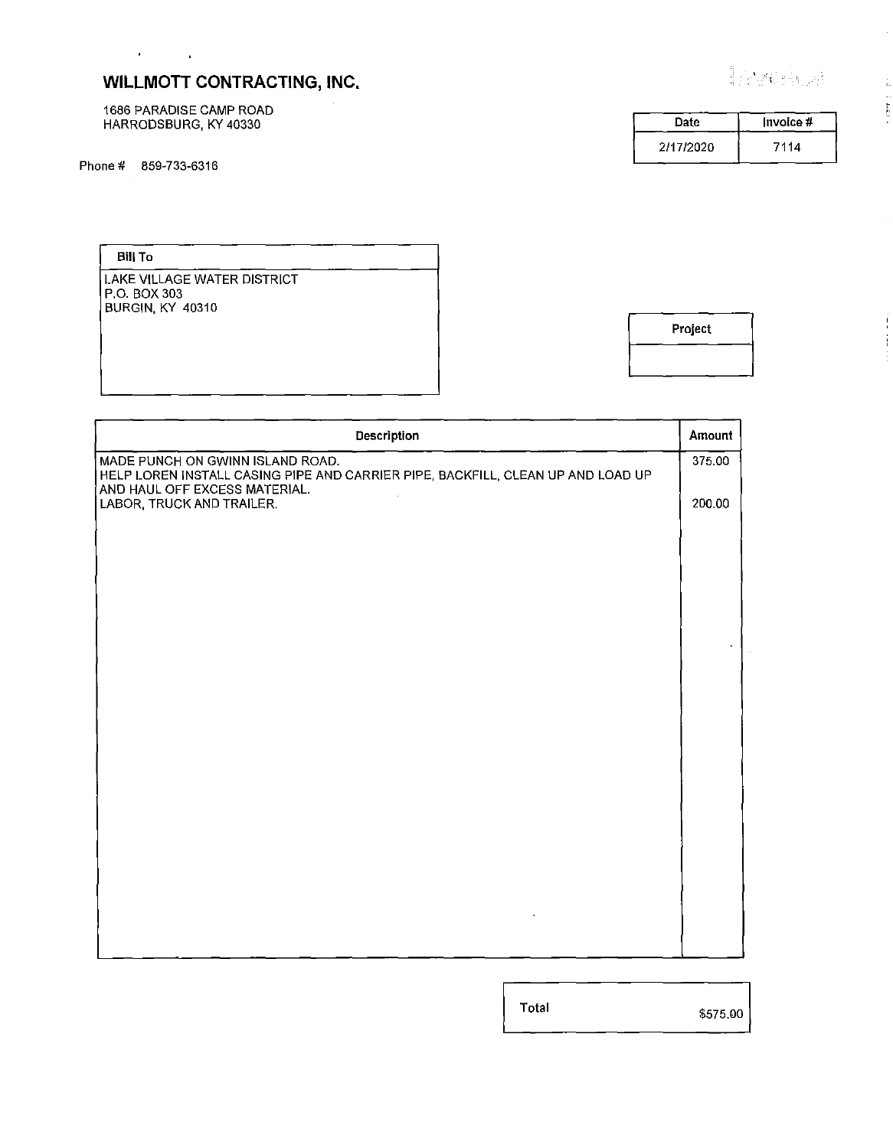1686 PARADISE CAMP ROAD HARRODSBURG, KY 40330

 $\sim 200$  km s  $^{-1}$  km

| Date      | Invoice # |
|-----------|-----------|
| 2/17/2020 | 7114      |

Installed

Bill To

LAKE VILLAGE WATER DISTRICT P.O. BOX 303 BURGIN, KY 40310

| Project |
|---------|
|         |

| Description                                                                                                                                          | Amount |
|------------------------------------------------------------------------------------------------------------------------------------------------------|--------|
| MADE PUNCH ON GWINN ISLAND ROAD.<br>HELP LOREN INSTALL CASING PIPE AND CARRIER PIPE, BACKFILL, CLEAN UP AND LOAD UP<br>AND HAUL OFF EXCESS MATERIAL. | 375.00 |
| ÷.<br>LABOR, TRUCK AND TRAILER.                                                                                                                      | 200.00 |
|                                                                                                                                                      |        |
|                                                                                                                                                      |        |
|                                                                                                                                                      |        |
|                                                                                                                                                      |        |
|                                                                                                                                                      |        |
|                                                                                                                                                      |        |
|                                                                                                                                                      |        |
|                                                                                                                                                      |        |
|                                                                                                                                                      |        |
|                                                                                                                                                      |        |
|                                                                                                                                                      |        |

Total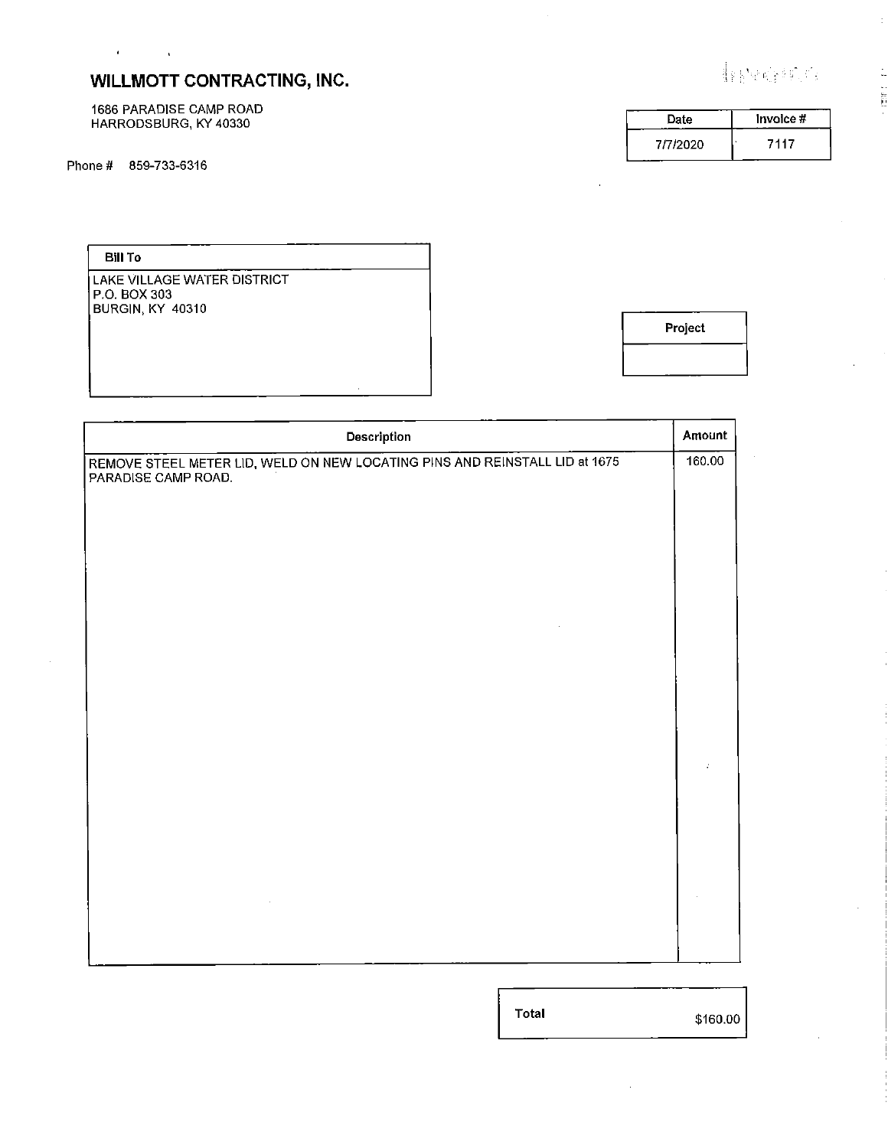1686 PARADISE CAMP ROAD HARRODSBURG, KY 40330

Phone# 859-733-6316

 $\mathcal{A}(\mathbf{r})$  and  $\mathcal{A}(\mathbf{r})$ 

|  |  | 静脉粘液神经病 |  |  |
|--|--|---------|--|--|
|  |  |         |  |  |
|  |  |         |  |  |

 $\pm$ 

**Calcula** 

| Date     | Invoice # |
|----------|-----------|
| 7/7/2020 | 7117      |

Bill To

LAKE VILLAGE WATER DISTRICT P.O. BOX 303 BURGIN, KY 40310

**Project** 

| Description                                                                                        | Amount |
|----------------------------------------------------------------------------------------------------|--------|
| REMOVE STEEL METER LID, WELD ON NEW LOCATING PINS AND REINSTALL LID at 1675<br>PARADISE CAMP ROAD. | 160.00 |
|                                                                                                    |        |
|                                                                                                    |        |
|                                                                                                    |        |
|                                                                                                    |        |
|                                                                                                    |        |
|                                                                                                    |        |
|                                                                                                    |        |
|                                                                                                    |        |
|                                                                                                    |        |
|                                                                                                    |        |
|                                                                                                    |        |
|                                                                                                    |        |

**Total** 

\$160.001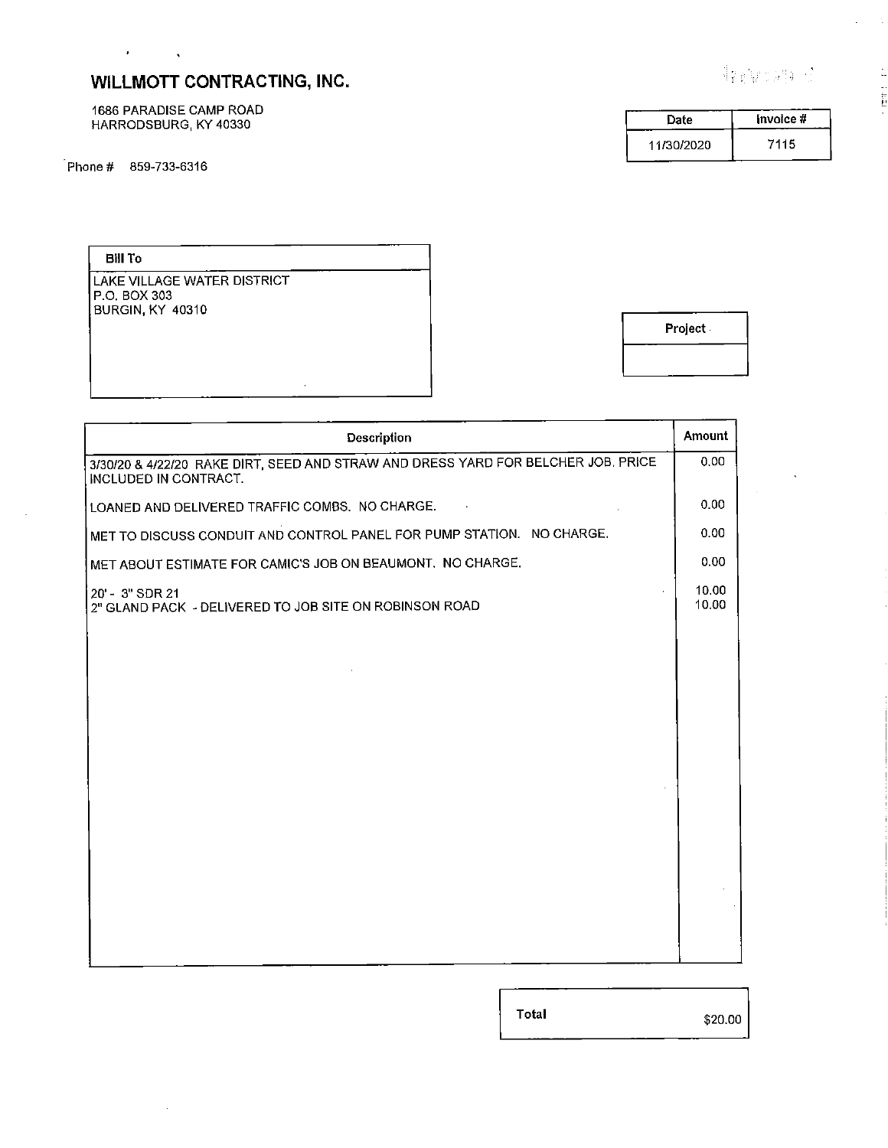1686 PARADISE CAMP ROAD HARRODSBURG, **KY** 40330

Phone# 859-733-6316

 $\mathcal{A}^{\text{max}}$  and  $\mathcal{A}^{\text{max}}$ 

|  | $\{ \gamma_{\ell}(\varphi), \varphi \}$ |  |  |                 |  |
|--|-----------------------------------------|--|--|-----------------|--|
|  |                                         |  |  | <b>Contract</b> |  |
|  |                                         |  |  |                 |  |

 $\bar{\lambda}$ 

**Date**  11/30/2020 **Invoice#**  7115

**Bill To** 

 $\hat{\mathcal{A}}$ 

LAKE VILLAGE WATER DISTRICT P.O. BOX 303 BURGIN, KY 40310

**Project.** 

| Description                                                                                                | Amount         |
|------------------------------------------------------------------------------------------------------------|----------------|
| 3/30/20 & 4/22/20 RAKE DIRT, SEED AND STRAW AND DRESS YARD FOR BELCHER JOB. PRICE<br>INCLUDED IN CONTRACT. | 0.00           |
| LOANED AND DELIVERED TRAFFIC COMBS. NO CHARGE.                                                             | 0.00           |
| MET TO DISCUSS CONDUIT AND CONTROL PANEL FOR PUMP STATION. NO CHARGE.                                      | 0.00           |
| MET ABOUT ESTIMATE FOR CAMIC'S JOB ON BEAUMONT. NO CHARGE.                                                 | 0.00           |
| 20' - 3" SDR 21<br>2" GLAND PACK - DELIVERED TO JOB SITE ON ROBINSON ROAD                                  | 10.00<br>10.00 |
|                                                                                                            |                |
|                                                                                                            |                |
|                                                                                                            |                |
|                                                                                                            |                |
|                                                                                                            |                |
|                                                                                                            |                |
|                                                                                                            |                |
|                                                                                                            |                |
|                                                                                                            |                |
|                                                                                                            |                |
|                                                                                                            |                |
|                                                                                                            |                |

**Total**  $$20.00$ 

 $\sim$  1  $\ddot{\phantom{a}}$ 

> Ċ, 计算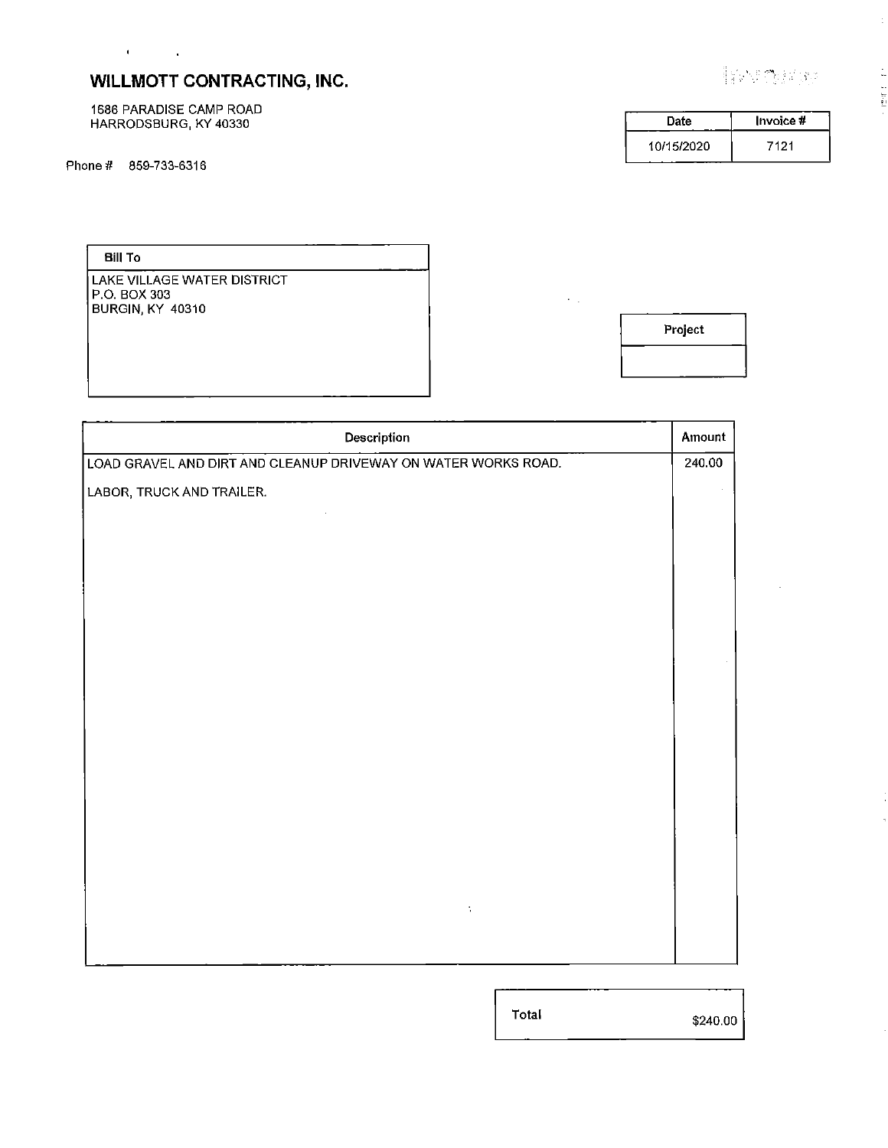1686 PARADISE CAMP ROAD HARRODSBURG, KY 40330

 $\sim 0.000$  and  $\sim 0.000$ 

i,

 $\pm$ 

| Date       | Invoice # |
|------------|-----------|
| 10/15/2020 | 7121      |

**Bill** To

LAKE VILLAGE WATER DISTRICT P.O. BOX 303 BURGIN, KY 40310

**Project** 

 $\epsilon_{\rm eff}$ 

| Description                                                    | Amount |
|----------------------------------------------------------------|--------|
| LOAD GRAVEL AND DIRT AND CLEANUP DRIVEWAY ON WATER WORKS ROAD. | 240.00 |
| LABOR, TRUCK AND TRAILER.                                      |        |
|                                                                |        |
|                                                                |        |
|                                                                |        |
|                                                                |        |
|                                                                |        |
|                                                                |        |
|                                                                |        |
|                                                                |        |
|                                                                |        |
|                                                                |        |
|                                                                |        |
|                                                                |        |
|                                                                |        |
|                                                                |        |
| $\mathcal{L}_{\mathcal{A}}$                                    |        |
|                                                                |        |
|                                                                |        |

Total

\$240.001